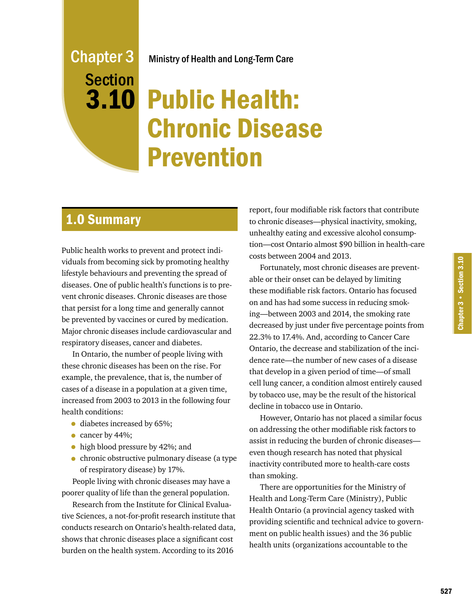# Ministry of Health and Long-Term Care

# 3.10 Public Health: Chronic Disease Prevention

# 1.0 Summary

Chapter 3

Section

Public health works to prevent and protect individuals from becoming sick by promoting healthy lifestyle behaviours and preventing the spread of diseases. One of public health's functions is to prevent chronic diseases. Chronic diseases are those that persist for a long time and generally cannot be prevented by vaccines or cured by medication. Major chronic diseases include cardiovascular and respiratory diseases, cancer and diabetes.

In Ontario, the number of people living with these chronic diseases has been on the rise. For example, the prevalence, that is, the number of cases of a disease in a population at a given time, increased from 2003 to 2013 in the following four health conditions:

- diabetes increased by 65%;
- cancer by 44%;
- high blood pressure by 42%; and
- chronic obstructive pulmonary disease (a type of respiratory disease) by 17%.

People living with chronic diseases may have a poorer quality of life than the general population.

Research from the Institute for Clinical Evaluative Sciences, a not-for-profit research institute that conducts research on Ontario's health-related data, shows that chronic diseases place a significant cost burden on the health system. According to its 2016

report, four modifiable risk factors that contribute to chronic diseases—physical inactivity, smoking, unhealthy eating and excessive alcohol consumption—cost Ontario almost \$90 billion in health-care costs between 2004 and 2013.

Fortunately, most chronic diseases are preventable or their onset can be delayed by limiting these modifiable risk factors. Ontario has focused on and has had some success in reducing smoking—between 2003 and 2014, the smoking rate decreased by just under five percentage points from 22.3% to 17.4%. And, according to Cancer Care Ontario, the decrease and stabilization of the incidence rate—the number of new cases of a disease that develop in a given period of time—of small cell lung cancer, a condition almost entirely caused by tobacco use, may be the result of the historical decline in tobacco use in Ontario.

However, Ontario has not placed a similar focus on addressing the other modifiable risk factors to assist in reducing the burden of chronic diseases even though research has noted that physical inactivity contributed more to health-care costs than smoking.

There are opportunities for the Ministry of Health and Long-Term Care (Ministry), Public Health Ontario (a provincial agency tasked with providing scientific and technical advice to government on public health issues) and the 36 public health units (organizations accountable to the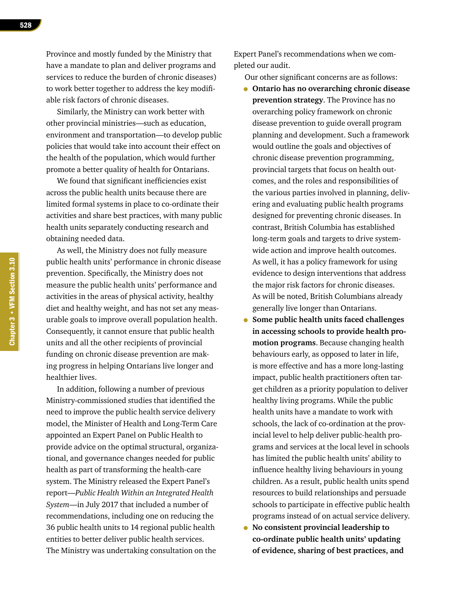Similarly, the Ministry can work better with other provincial ministries—such as education, environment and transportation—to develop public policies that would take into account their effect on the health of the population, which would further promote a better quality of health for Ontarians.

We found that significant inefficiencies exist across the public health units because there are limited formal systems in place to co-ordinate their activities and share best practices, with many public health units separately conducting research and obtaining needed data.

As well, the Ministry does not fully measure public health units' performance in chronic disease prevention. Specifically, the Ministry does not measure the public health units' performance and activities in the areas of physical activity, healthy diet and healthy weight, and has not set any measurable goals to improve overall population health. Consequently, it cannot ensure that public health units and all the other recipients of provincial funding on chronic disease prevention are making progress in helping Ontarians live longer and healthier lives.

In addition, following a number of previous Ministry-commissioned studies that identified the need to improve the public health service delivery model, the Minister of Health and Long-Term Care appointed an Expert Panel on Public Health to provide advice on the optimal structural, organizational, and governance changes needed for public health as part of transforming the health-care system. The Ministry released the Expert Panel's report—*Public Health Within an Integrated Health System*—in July 2017 that included a number of recommendations, including one on reducing the 36 public health units to 14 regional public health entities to better deliver public health services. The Ministry was undertaking consultation on the

Expert Panel's recommendations when we completed our audit.

Our other significant concerns are as follows:

- **Ontario has no overarching chronic disease prevention strategy**. The Province has no overarching policy framework on chronic disease prevention to guide overall program planning and development. Such a framework would outline the goals and objectives of chronic disease prevention programming, provincial targets that focus on health outcomes, and the roles and responsibilities of the various parties involved in planning, delivering and evaluating public health programs designed for preventing chronic diseases. In contrast, British Columbia has established long-term goals and targets to drive systemwide action and improve health outcomes. As well, it has a policy framework for using evidence to design interventions that address the major risk factors for chronic diseases. As will be noted, British Columbians already generally live longer than Ontarians.
- **Some public health units faced challenges in accessing schools to provide health promotion programs**. Because changing health behaviours early, as opposed to later in life, is more effective and has a more long-lasting impact, public health practitioners often target children as a priority population to deliver healthy living programs. While the public health units have a mandate to work with schools, the lack of co-ordination at the provincial level to help deliver public-health programs and services at the local level in schools has limited the public health units' ability to influence healthy living behaviours in young children. As a result, public health units spend resources to build relationships and persuade schools to participate in effective public health programs instead of on actual service delivery.
- **No consistent provincial leadership to co-ordinate public health units' updating of evidence, sharing of best practices, and**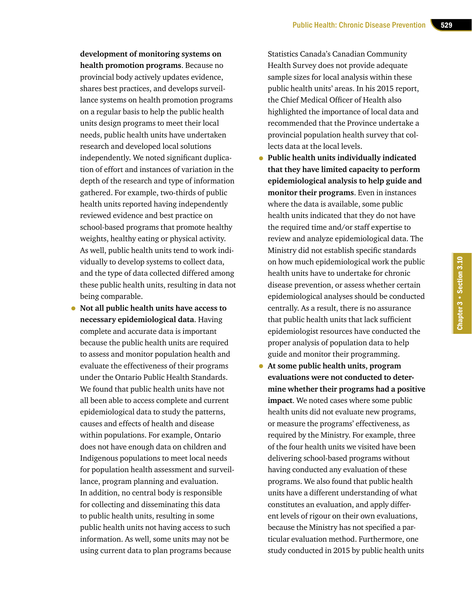**development of monitoring systems on health promotion programs**. Because no provincial body actively updates evidence, shares best practices, and develops surveillance systems on health promotion programs on a regular basis to help the public health units design programs to meet their local needs, public health units have undertaken research and developed local solutions independently. We noted significant duplication of effort and instances of variation in the depth of the research and type of information gathered. For example, two-thirds of public health units reported having independently reviewed evidence and best practice on school-based programs that promote healthy weights, healthy eating or physical activity. As well, public health units tend to work individually to develop systems to collect data, and the type of data collected differed among these public health units, resulting in data not being comparable.

• **Not all public health units have access to necessary epidemiological data**. Having complete and accurate data is important because the public health units are required to assess and monitor population health and evaluate the effectiveness of their programs under the Ontario Public Health Standards. We found that public health units have not all been able to access complete and current epidemiological data to study the patterns, causes and effects of health and disease within populations. For example, Ontario does not have enough data on children and Indigenous populations to meet local needs for population health assessment and surveillance, program planning and evaluation. In addition, no central body is responsible for collecting and disseminating this data to public health units, resulting in some public health units not having access to such information. As well, some units may not be using current data to plan programs because

Statistics Canada's Canadian Community Health Survey does not provide adequate sample sizes for local analysis within these public health units' areas. In his 2015 report, the Chief Medical Officer of Health also highlighted the importance of local data and recommended that the Province undertake a provincial population health survey that collects data at the local levels.

• **Public health units individually indicated that they have limited capacity to perform epidemiological analysis to help guide and monitor their programs**. Even in instances where the data is available, some public health units indicated that they do not have the required time and/or staff expertise to review and analyze epidemiological data. The Ministry did not establish specific standards on how much epidemiological work the public health units have to undertake for chronic disease prevention, or assess whether certain epidemiological analyses should be conducted centrally. As a result, there is no assurance that public health units that lack sufficient epidemiologist resources have conducted the proper analysis of population data to help guide and monitor their programming.

Chapter 3 • Section 3.10

Chapter 3 . Section 3.10

• **At some public health units, program evaluations were not conducted to determine whether their programs had a positive impact**. We noted cases where some public health units did not evaluate new programs, or measure the programs' effectiveness, as required by the Ministry. For example, three of the four health units we visited have been delivering school-based programs without having conducted any evaluation of these programs. We also found that public health units have a different understanding of what constitutes an evaluation, and apply different levels of rigour on their own evaluations, because the Ministry has not specified a particular evaluation method. Furthermore, one study conducted in 2015 by public health units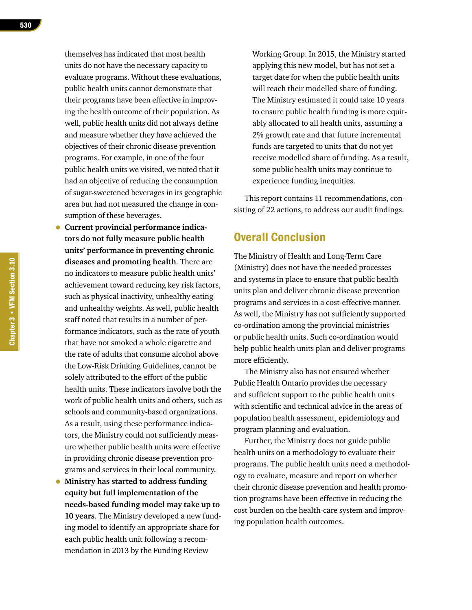themselves has indicated that most health units do not have the necessary capacity to evaluate programs. Without these evaluations, public health units cannot demonstrate that their programs have been effective in improving the health outcome of their population. As well, public health units did not always define and measure whether they have achieved the objectives of their chronic disease prevention programs. For example, in one of the four public health units we visited, we noted that it had an objective of reducing the consumption of sugar-sweetened beverages in its geographic area but had not measured the change in consumption of these beverages.

- **Current provincial performance indicators do not fully measure public health units' performance in preventing chronic diseases and promoting health**. There are no indicators to measure public health units' achievement toward reducing key risk factors, such as physical inactivity, unhealthy eating and unhealthy weights. As well, public health staff noted that results in a number of performance indicators, such as the rate of youth that have not smoked a whole cigarette and the rate of adults that consume alcohol above the Low-Risk Drinking Guidelines, cannot be solely attributed to the effort of the public health units. These indicators involve both the work of public health units and others, such as schools and community-based organizations. As a result, using these performance indicators, the Ministry could not sufficiently measure whether public health units were effective in providing chronic disease prevention programs and services in their local community.
- **Ministry has started to address funding equity but full implementation of the needs-based funding model may take up to 10 years**. The Ministry developed a new funding model to identify an appropriate share for each public health unit following a recommendation in 2013 by the Funding Review

Working Group. In 2015, the Ministry started applying this new model, but has not set a target date for when the public health units will reach their modelled share of funding. The Ministry estimated it could take 10 years to ensure public health funding is more equitably allocated to all health units, assuming a 2% growth rate and that future incremental funds are targeted to units that do not yet receive modelled share of funding. As a result, some public health units may continue to experience funding inequities.

This report contains 11 recommendations, consisting of 22 actions, to address our audit findings.

# Overall Conclusion

The Ministry of Health and Long-Term Care (Ministry) does not have the needed processes and systems in place to ensure that public health units plan and deliver chronic disease prevention programs and services in a cost-effective manner. As well, the Ministry has not sufficiently supported co-ordination among the provincial ministries or public health units. Such co-ordination would help public health units plan and deliver programs more efficiently.

The Ministry also has not ensured whether Public Health Ontario provides the necessary and sufficient support to the public health units with scientific and technical advice in the areas of population health assessment, epidemiology and program planning and evaluation.

Further, the Ministry does not guide public health units on a methodology to evaluate their programs. The public health units need a methodology to evaluate, measure and report on whether their chronic disease prevention and health promotion programs have been effective in reducing the cost burden on the health-care system and improving population health outcomes.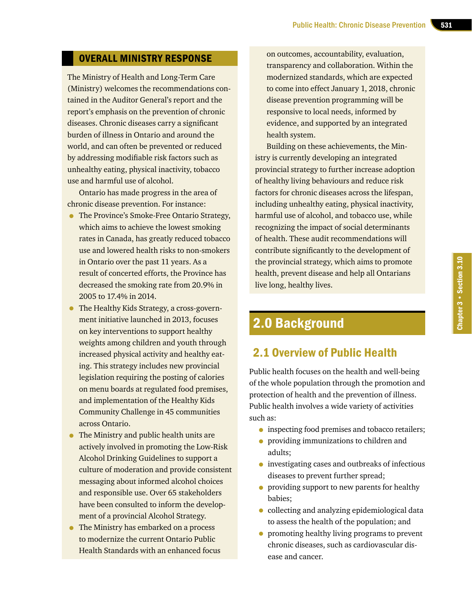# OVERALL MINISTRY RESPONSE

The Ministry of Health and Long-Term Care (Ministry) welcomes the recommendations contained in the Auditor General's report and the report's emphasis on the prevention of chronic diseases. Chronic diseases carry a significant burden of illness in Ontario and around the world, and can often be prevented or reduced by addressing modifiable risk factors such as unhealthy eating, physical inactivity, tobacco use and harmful use of alcohol.

Ontario has made progress in the area of chronic disease prevention. For instance:

- The Province's Smoke-Free Ontario Strategy, which aims to achieve the lowest smoking rates in Canada, has greatly reduced tobacco use and lowered health risks to non-smokers in Ontario over the past 11 years. As a result of concerted efforts, the Province has decreased the smoking rate from 20.9% in 2005 to 17.4% in 2014.
- The Healthy Kids Strategy, a cross-government initiative launched in 2013, focuses on key interventions to support healthy weights among children and youth through increased physical activity and healthy eating. This strategy includes new provincial legislation requiring the posting of calories on menu boards at regulated food premises, and implementation of the Healthy Kids Community Challenge in 45 communities across Ontario.
- The Ministry and public health units are actively involved in promoting the Low-Risk Alcohol Drinking Guidelines to support a culture of moderation and provide consistent messaging about informed alcohol choices and responsible use. Over 65 stakeholders have been consulted to inform the development of a provincial Alcohol Strategy.
- The Ministry has embarked on a process to modernize the current Ontario Public Health Standards with an enhanced focus

on outcomes, accountability, evaluation, transparency and collaboration. Within the modernized standards, which are expected to come into effect January 1, 2018, chronic disease prevention programming will be responsive to local needs, informed by evidence, and supported by an integrated health system.

Building on these achievements, the Ministry is currently developing an integrated provincial strategy to further increase adoption of healthy living behaviours and reduce risk factors for chronic diseases across the lifespan, including unhealthy eating, physical inactivity, harmful use of alcohol, and tobacco use, while recognizing the impact of social determinants of health. These audit recommendations will contribute significantly to the development of the provincial strategy, which aims to promote health, prevent disease and help all Ontarians live long, healthy lives.

# 2.0 Background

# 2.1 Overview of Public Health

Public health focuses on the health and well-being of the whole population through the promotion and protection of health and the prevention of illness. Public health involves a wide variety of activities such as:

- inspecting food premises and tobacco retailers;
- providing immunizations to children and adults;
- investigating cases and outbreaks of infectious diseases to prevent further spread;
- providing support to new parents for healthy babies;
- collecting and analyzing epidemiological data to assess the health of the population; and
- promoting healthy living programs to prevent chronic diseases, such as cardiovascular disease and cancer.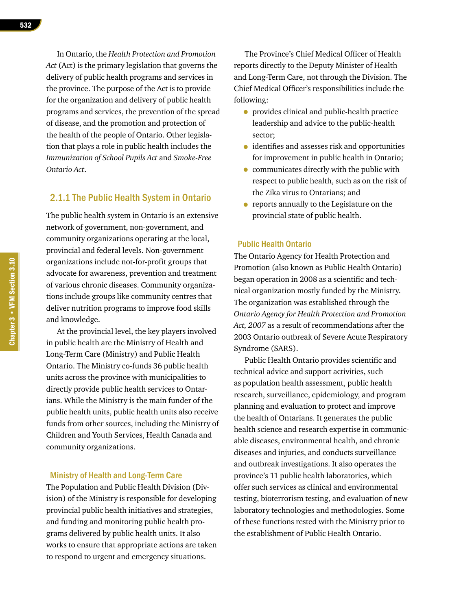In Ontario, the *Health Protection and Promotion Act* (Act) is the primary legislation that governs the delivery of public health programs and services in the province. The purpose of the Act is to provide for the organization and delivery of public health programs and services, the prevention of the spread of disease, and the promotion and protection of the health of the people of Ontario. Other legislation that plays a role in public health includes the *Immunization of School Pupils Act* and *Smoke-Free Ontario Act*.

### 2.1.1 The Public Health System in Ontario

The public health system in Ontario is an extensive network of government, non-government, and community organizations operating at the local, provincial and federal levels. Non-government organizations include not-for-profit groups that advocate for awareness, prevention and treatment of various chronic diseases. Community organizations include groups like community centres that deliver nutrition programs to improve food skills and knowledge.

At the provincial level, the key players involved in public health are the Ministry of Health and Long-Term Care (Ministry) and Public Health Ontario. The Ministry co-funds 36 public health units across the province with municipalities to directly provide public health services to Ontarians. While the Ministry is the main funder of the public health units, public health units also receive funds from other sources, including the Ministry of Children and Youth Services, Health Canada and community organizations.

### Ministry of Health and Long-Term Care

The Population and Public Health Division (Division) of the Ministry is responsible for developing provincial public health initiatives and strategies, and funding and monitoring public health programs delivered by public health units. It also works to ensure that appropriate actions are taken to respond to urgent and emergency situations.

The Province's Chief Medical Officer of Health reports directly to the Deputy Minister of Health and Long-Term Care, not through the Division. The Chief Medical Officer's responsibilities include the following:

- provides clinical and public-health practice leadership and advice to the public-health sector;
- identifies and assesses risk and opportunities for improvement in public health in Ontario;
- communicates directly with the public with respect to public health, such as on the risk of the Zika virus to Ontarians; and
- reports annually to the Legislature on the provincial state of public health.

### Public Health Ontario

The Ontario Agency for Health Protection and Promotion (also known as Public Health Ontario) began operation in 2008 as a scientific and technical organization mostly funded by the Ministry. The organization was established through the *Ontario Agency for Health Protection and Promotion Act, 2007* as a result of recommendations after the 2003 Ontario outbreak of Severe Acute Respiratory Syndrome (SARS).

Public Health Ontario provides scientific and technical advice and support activities, such as population health assessment, public health research, surveillance, epidemiology, and program planning and evaluation to protect and improve the health of Ontarians. It generates the public health science and research expertise in communicable diseases, environmental health, and chronic diseases and injuries, and conducts surveillance and outbreak investigations. It also operates the province's 11 public health laboratories, which offer such services as clinical and environmental testing, bioterrorism testing, and evaluation of new laboratory technologies and methodologies. Some of these functions rested with the Ministry prior to the establishment of Public Health Ontario.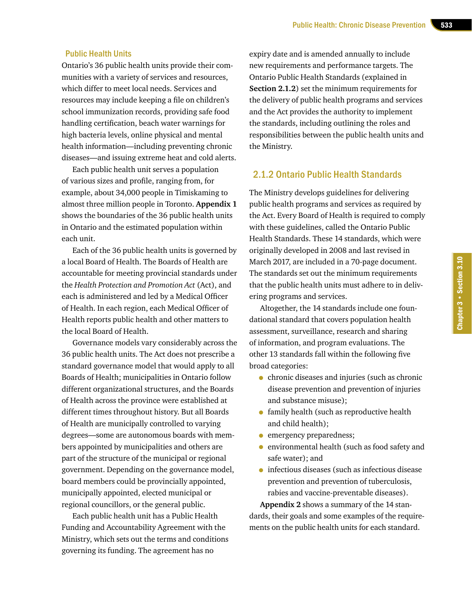### Public Health Units

Ontario's 36 public health units provide their communities with a variety of services and resources, which differ to meet local needs. Services and resources may include keeping a file on children's school immunization records, providing safe food handling certification, beach water warnings for high bacteria levels, online physical and mental health information—including preventing chronic diseases—and issuing extreme heat and cold alerts.

Each public health unit serves a population of various sizes and profile, ranging from, for example, about 34,000 people in Timiskaming to almost three million people in Toronto. **Appendix 1**  shows the boundaries of the 36 public health units in Ontario and the estimated population within each unit.

Each of the 36 public health units is governed by a local Board of Health. The Boards of Health are accountable for meeting provincial standards under the *Health Protection and Promotion Act* (Act), and each is administered and led by a Medical Officer of Health. In each region, each Medical Officer of Health reports public health and other matters to the local Board of Health.

Governance models vary considerably across the 36 public health units. The Act does not prescribe a standard governance model that would apply to all Boards of Health; municipalities in Ontario follow different organizational structures, and the Boards of Health across the province were established at different times throughout history. But all Boards of Health are municipally controlled to varying degrees—some are autonomous boards with members appointed by municipalities and others are part of the structure of the municipal or regional government. Depending on the governance model, board members could be provincially appointed, municipally appointed, elected municipal or regional councillors, or the general public.

Each public health unit has a Public Health Funding and Accountability Agreement with the Ministry, which sets out the terms and conditions governing its funding. The agreement has no

expiry date and is amended annually to include new requirements and performance targets. The Ontario Public Health Standards (explained in **Section 2.1.2**) set the minimum requirements for the delivery of public health programs and services and the Act provides the authority to implement the standards, including outlining the roles and responsibilities between the public health units and the Ministry.

# 2.1.2 Ontario Public Health Standards

The Ministry develops guidelines for delivering public health programs and services as required by the Act. Every Board of Health is required to comply with these guidelines, called the Ontario Public Health Standards. These 14 standards, which were originally developed in 2008 and last revised in March 2017, are included in a 70-page document. The standards set out the minimum requirements that the public health units must adhere to in delivering programs and services.

Altogether, the 14 standards include one foundational standard that covers population health assessment, surveillance, research and sharing of information, and program evaluations. The other 13 standards fall within the following five broad categories:

- chronic diseases and injuries (such as chronic disease prevention and prevention of injuries and substance misuse);
- family health (such as reproductive health) and child health);
- emergency preparedness;
- environmental health (such as food safety and safe water); and
- infectious diseases (such as infectious disease prevention and prevention of tuberculosis, rabies and vaccine-preventable diseases).

**Appendix 2** shows a summary of the 14 standards, their goals and some examples of the requirements on the public health units for each standard.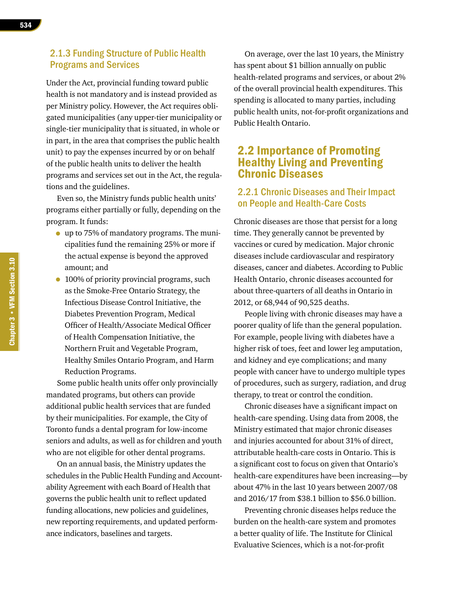### 2.1.3 Funding Structure of Public Health Programs and Services

Under the Act, provincial funding toward public health is not mandatory and is instead provided as per Ministry policy. However, the Act requires obligated municipalities (any upper-tier municipality or single-tier municipality that is situated, in whole or in part, in the area that comprises the public health unit) to pay the expenses incurred by or on behalf of the public health units to deliver the health programs and services set out in the Act, the regulations and the guidelines.

Even so, the Ministry funds public health units' programs either partially or fully, depending on the program. It funds:

- up to 75% of mandatory programs. The municipalities fund the remaining 25% or more if the actual expense is beyond the approved amount; and
- 100% of priority provincial programs, such as the Smoke-Free Ontario Strategy, the Infectious Disease Control Initiative, the Diabetes Prevention Program, Medical Officer of Health/Associate Medical Officer of Health Compensation Initiative, the Northern Fruit and Vegetable Program, Healthy Smiles Ontario Program, and Harm Reduction Programs.

Some public health units offer only provincially mandated programs, but others can provide additional public health services that are funded by their municipalities. For example, the City of Toronto funds a dental program for low-income seniors and adults, as well as for children and youth who are not eligible for other dental programs.

On an annual basis, the Ministry updates the schedules in the Public Health Funding and Accountability Agreement with each Board of Health that governs the public health unit to reflect updated funding allocations, new policies and guidelines, new reporting requirements, and updated performance indicators, baselines and targets.

On average, over the last 10 years, the Ministry has spent about \$1 billion annually on public health-related programs and services, or about 2% of the overall provincial health expenditures. This spending is allocated to many parties, including public health units, not-for-profit organizations and Public Health Ontario.

# 2.2 Importance of Promoting Healthy Living and Preventing Chronic Diseases

# 2.2.1 Chronic Diseases and Their Impact on People and Health-Care Costs

Chronic diseases are those that persist for a long time. They generally cannot be prevented by vaccines or cured by medication. Major chronic diseases include cardiovascular and respiratory diseases, cancer and diabetes. According to Public Health Ontario, chronic diseases accounted for about three-quarters of all deaths in Ontario in 2012, or 68,944 of 90,525 deaths.

People living with chronic diseases may have a poorer quality of life than the general population. For example, people living with diabetes have a higher risk of toes, feet and lower leg amputation, and kidney and eye complications; and many people with cancer have to undergo multiple types of procedures, such as surgery, radiation, and drug therapy, to treat or control the condition.

Chronic diseases have a significant impact on health-care spending. Using data from 2008, the Ministry estimated that major chronic diseases and injuries accounted for about 31% of direct, attributable health-care costs in Ontario. This is a significant cost to focus on given that Ontario's health-care expenditures have been increasing—by about 47% in the last 10 years between 2007/08 and 2016/17 from \$38.1 billion to \$56.0 billion.

Preventing chronic diseases helps reduce the burden on the health-care system and promotes a better quality of life. The Institute for Clinical Evaluative Sciences, which is a not-for-profit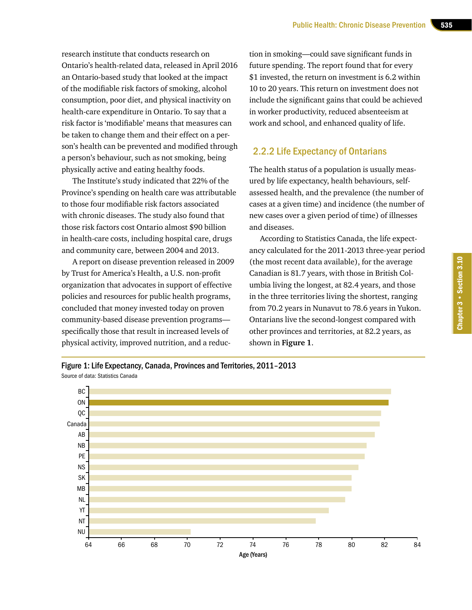research institute that conducts research on Ontario's health-related data, released in April 2016 an Ontario-based study that looked at the impact of the modifiable risk factors of smoking, alcohol consumption, poor diet, and physical inactivity on health-care expenditure in Ontario. To say that a risk factor is 'modifiable' means that measures can be taken to change them and their effect on a person's health can be prevented and modified through a person's behaviour, such as not smoking, being physically active and eating healthy foods.

The Institute's study indicated that 22% of the Province's spending on health care was attributable to those four modifiable risk factors associated with chronic diseases. The study also found that those risk factors cost Ontario almost \$90 billion in health-care costs, including hospital care, drugs and community care, between 2004 and 2013.

A report on disease prevention released in 2009 by Trust for America's Health, a U.S. non-profit organization that advocates in support of effective policies and resources for public health programs, concluded that money invested today on proven community-based disease prevention programs specifically those that result in increased levels of physical activity, improved nutrition, and a reduc-

tion in smoking—could save significant funds in future spending. The report found that for every \$1 invested, the return on investment is 6.2 within 10 to 20 years. This return on investment does not include the significant gains that could be achieved in worker productivity, reduced absenteeism at work and school, and enhanced quality of life.

### 2.2.2 Life Expectancy of Ontarians

The health status of a population is usually measured by life expectancy, health behaviours, selfassessed health, and the prevalence (the number of cases at a given time) and incidence (the number of new cases over a given period of time) of illnesses and diseases.

According to Statistics Canada, the life expectancy calculated for the 2011-2013 three-year period (the most recent data available), for the average Canadian is 81.7 years, with those in British Columbia living the longest, at 82.4 years, and those in the three territories living the shortest, ranging from 70.2 years in Nunavut to 78.6 years in Yukon. Ontarians live the second-longest compared with other provinces and territories, at 82.2 years, as shown in **Figure 1**.

Figure 1: Life Expectancy, Canada, Provinces and Territories, 2011–2013 Source of data: Statistics Canada

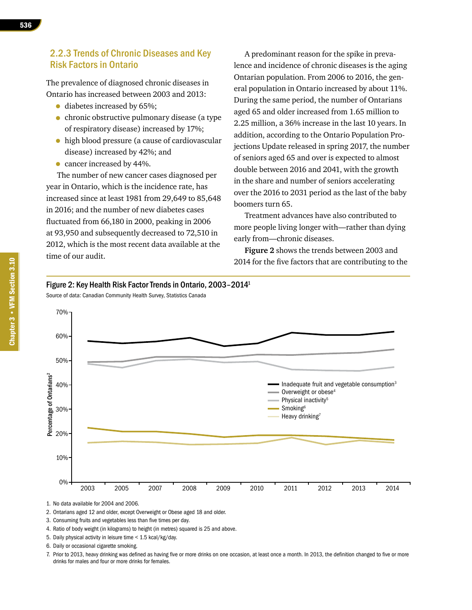The prevalence of diagnosed chronic diseases in Ontario has increased between 2003 and 2013:

- diabetes increased by 65%;
- chronic obstructive pulmonary disease (a type of respiratory disease) increased by 17%;
- high blood pressure (a cause of cardiovascular disease) increased by 42%; and
- cancer increased by 44%.

The number of new cancer cases diagnosed per year in Ontario, which is the incidence rate, has increased since at least 1981 from 29,649 to 85,648 in 2016; and the number of new diabetes cases fluctuated from 66,180 in 2000, peaking in 2006 at 93,950 and subsequently decreased to 72,510 in 2012, which is the most recent data available at the time of our audit.

A predominant reason for the spike in prevalence and incidence of chronic diseases is the aging Ontarian population. From 2006 to 2016, the general population in Ontario increased by about 11%. During the same period, the number of Ontarians aged 65 and older increased from 1.65 million to 2.25 million, a 36% increase in the last 10 years. In addition, according to the Ontario Population Projections Update released in spring 2017, the number of seniors aged 65 and over is expected to almost double between 2016 and 2041, with the growth in the share and number of seniors accelerating over the 2016 to 2031 period as the last of the baby boomers turn 65.

Treatment advances have also contributed to more people living longer with—rather than dying early from—chronic diseases.

**Figure 2** shows the trends between 2003 and 2014 for the five factors that are contributing to the



Source of data: Canadian Community Health Survey, Statistics Canada



1. No data available for 2004 and 2006.

2. Ontarians aged 12 and older, except Overweight or Obese aged 18 and older.

3. Consuming fruits and vegetables less than five times per day.

4. Ratio of body weight (in kilograms) to height (in metres) squared is 25 and above.

5. Daily physical activity in leisure time < 1.5 kcal/kg/day.

7. Prior to 2013, heavy drinking was defined as having five or more drinks on one occasion, at least once a month. In 2013, the definition changed to five or more drinks for males and four or more drinks for females.

<sup>6.</sup> Daily or occasional cigarette smoking.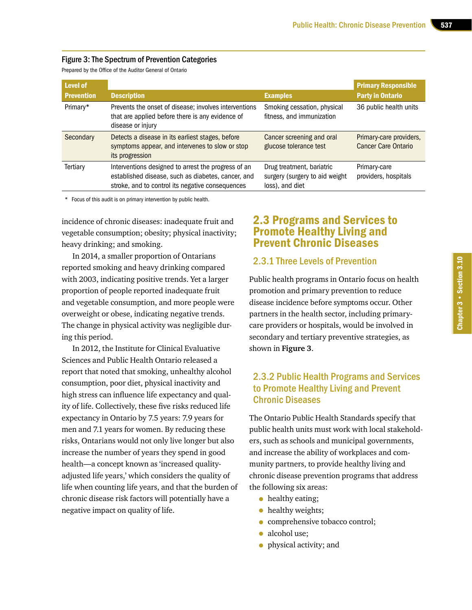### Figure 3: The Spectrum of Prevention Categories

Prepared by the Office of the Auditor General of Ontario

| <b>Level of</b><br><b>Prevention</b> | <b>Description</b>                                                                                                                                            | <b>Examples</b>                                                                | <b>Primary Responsible</b><br><b>Party in Ontario</b> |
|--------------------------------------|---------------------------------------------------------------------------------------------------------------------------------------------------------------|--------------------------------------------------------------------------------|-------------------------------------------------------|
| Primary*                             | Prevents the onset of disease; involves interventions<br>that are applied before there is any evidence of<br>disease or injury                                | Smoking cessation, physical<br>fitness, and immunization                       | 36 public health units                                |
| Secondary                            | Detects a disease in its earliest stages, before<br>symptoms appear, and intervenes to slow or stop<br>its progression                                        | Cancer screening and oral<br>glucose tolerance test                            | Primary-care providers,<br><b>Cancer Care Ontario</b> |
| Tertiary                             | Interventions designed to arrest the progress of an<br>established disease, such as diabetes, cancer, and<br>stroke, and to control its negative consequences | Drug treatment, bariatric<br>surgery (surgery to aid weight<br>loss), and diet | Primary-care<br>providers, hospitals                  |

\* Focus of this audit is on primary intervention by public health.

incidence of chronic diseases: inadequate fruit and vegetable consumption; obesity; physical inactivity; heavy drinking; and smoking.

In 2014, a smaller proportion of Ontarians reported smoking and heavy drinking compared with 2003, indicating positive trends. Yet a larger proportion of people reported inadequate fruit and vegetable consumption, and more people were overweight or obese, indicating negative trends. The change in physical activity was negligible during this period.

In 2012, the Institute for Clinical Evaluative Sciences and Public Health Ontario released a report that noted that smoking, unhealthy alcohol consumption, poor diet, physical inactivity and high stress can influence life expectancy and quality of life. Collectively, these five risks reduced life expectancy in Ontario by 7.5 years: 7.9 years for men and 7.1 years for women. By reducing these risks, Ontarians would not only live longer but also increase the number of years they spend in good health—a concept known as 'increased qualityadjusted life years,' which considers the quality of life when counting life years, and that the burden of chronic disease risk factors will potentially have a negative impact on quality of life.

# 2.3 Programs and Services to Promote Healthy Living and Prevent Chronic Diseases

### 2.3.1 Three Levels of Prevention

Public health programs in Ontario focus on health promotion and primary prevention to reduce disease incidence before symptoms occur. Other partners in the health sector, including primarycare providers or hospitals, would be involved in secondary and tertiary preventive strategies, as shown in **Figure 3**.

# 2.3.2 Public Health Programs and Services to Promote Healthy Living and Prevent Chronic Diseases

The Ontario Public Health Standards specify that public health units must work with local stakeholders, such as schools and municipal governments, and increase the ability of workplaces and community partners, to provide healthy living and chronic disease prevention programs that address the following six areas:

- healthy eating;
- healthy weights;
- comprehensive tobacco control;
- alcohol use;
- physical activity; and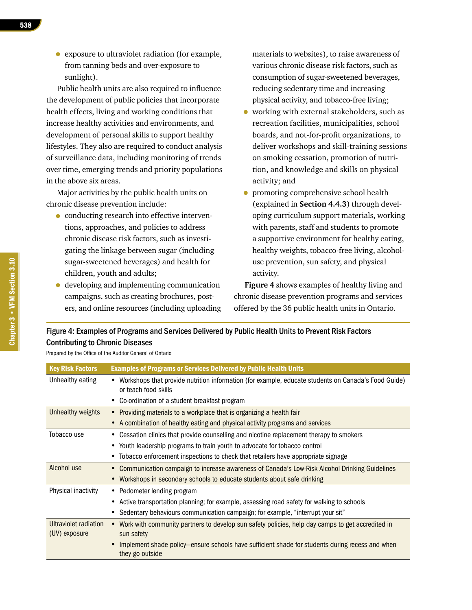• exposure to ultraviolet radiation (for example, from tanning beds and over-exposure to sunlight).

Public health units are also required to influence the development of public policies that incorporate health effects, living and working conditions that increase healthy activities and environments, and development of personal skills to support healthy lifestyles. They also are required to conduct analysis of surveillance data, including monitoring of trends over time, emerging trends and priority populations in the above six areas.

Major activities by the public health units on chronic disease prevention include:

- conducting research into effective interventions, approaches, and policies to address chronic disease risk factors, such as investigating the linkage between sugar (including sugar-sweetened beverages) and health for children, youth and adults;
- developing and implementing communication campaigns, such as creating brochures, posters, and online resources (including uploading

materials to websites), to raise awareness of various chronic disease risk factors, such as consumption of sugar-sweetened beverages, reducing sedentary time and increasing physical activity, and tobacco-free living;

- working with external stakeholders, such as recreation facilities, municipalities, school boards, and not-for-profit organizations, to deliver workshops and skill-training sessions on smoking cessation, promotion of nutrition, and knowledge and skills on physical activity; and
- promoting comprehensive school health (explained in **Section 4.4.3**) through developing curriculum support materials, working with parents, staff and students to promote a supportive environment for healthy eating, healthy weights, tobacco-free living, alcoholuse prevention, sun safety, and physical activity.

**Figure 4** shows examples of healthy living and chronic disease prevention programs and services offered by the 36 public health units in Ontario.

| Figure 4: Examples of Programs and Services Delivered by Public Health Units to Prevent Risk Factors |
|------------------------------------------------------------------------------------------------------|
| <b>Contributing to Chronic Diseases</b>                                                              |

Prepared by the Office of the Auditor General of Ontario

| <b>Key Risk Factors</b>                | <b>Examples of Programs or Services Delivered by Public Health Units</b>                                                    |
|----------------------------------------|-----------------------------------------------------------------------------------------------------------------------------|
| Unhealthy eating                       | Workshops that provide nutrition information (for example, educate students on Canada's Food Guide)<br>or teach food skills |
|                                        | Co-ordination of a student breakfast program                                                                                |
| Unhealthy weights                      | • Providing materials to a workplace that is organizing a health fair                                                       |
|                                        | A combination of healthy eating and physical activity programs and services                                                 |
| Tobacco use                            | Cessation clinics that provide counselling and nicotine replacement therapy to smokers                                      |
|                                        | Youth leadership programs to train youth to advocate for tobacco control<br>٠                                               |
|                                        | Tobacco enforcement inspections to check that retailers have appropriate signage                                            |
| Alcohol use                            | Communication campaign to increase awareness of Canada's Low-Risk Alcohol Drinking Guidelines                               |
|                                        | Workshops in secondary schools to educate students about safe drinking                                                      |
| Physical inactivity                    | • Pedometer lending program                                                                                                 |
|                                        | Active transportation planning; for example, assessing road safety for walking to schools                                   |
|                                        | Sedentary behaviours communication campaign; for example, "interrupt your sit"                                              |
| Ultraviolet radiation<br>(UV) exposure | • Work with community partners to develop sun safety policies, help day camps to get accredited in<br>sun safety            |
|                                        | Implement shade policy-ensure schools have sufficient shade for students during recess and when<br>they go outside          |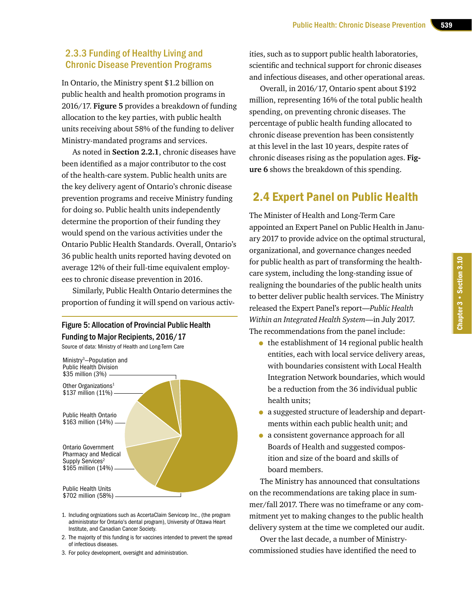# 2.3.3 Funding of Healthy Living and Chronic Disease Prevention Programs

In Ontario, the Ministry spent \$1.2 billion on public health and health promotion programs in 2016/17. **Figure 5** provides a breakdown of funding allocation to the key parties, with public health units receiving about 58% of the funding to deliver Ministry-mandated programs and services.

As noted in **Section 2.2.1**, chronic diseases have been identified as a major contributor to the cost of the health-care system. Public health units are the key delivery agent of Ontario's chronic disease prevention programs and receive Ministry funding for doing so. Public health units independently determine the proportion of their funding they would spend on the various activities under the Ontario Public Health Standards. Overall, Ontario's 36 public health units reported having devoted on average 12% of their full-time equivalent employees to chronic disease prevention in 2016.

Similarly, Public Health Ontario determines the proportion of funding it will spend on various activ-

### Figure 5: Allocation of Provincial Public Health Funding to Major Recipients, 2016/17

Source of data: Ministry of Health and Long-Term Care



- 1. Including orgnizations such as AccertaClaim Servicorp Inc., (the program administrator for Ontario's dental program), University of Ottawa Heart Institute, and Canadian Cancer Society.
- 2. The majority of this funding is for vaccines intended to prevent the spread of infectious diseases.
- 3. For policy development, oversight and administration.

ities, such as to support public health laboratories, scientific and technical support for chronic diseases and infectious diseases, and other operational areas.

Overall, in 2016/17, Ontario spent about \$192 million, representing 16% of the total public health spending, on preventing chronic diseases. The percentage of public health funding allocated to chronic disease prevention has been consistently at this level in the last 10 years, despite rates of chronic diseases rising as the population ages. **Figure 6** shows the breakdown of this spending.

# 2.4 Expert Panel on Public Health

The Minister of Health and Long-Term Care appointed an Expert Panel on Public Health in January 2017 to provide advice on the optimal structural, organizational, and governance changes needed for public health as part of transforming the healthcare system, including the long-standing issue of realigning the boundaries of the public health units to better deliver public health services. The Ministry released the Expert Panel's report—*Public Health Within an Integrated Health System*—in July 2017. The recommendations from the panel include:

- the establishment of 14 regional public health entities, each with local service delivery areas, with boundaries consistent with Local Health Integration Network boundaries, which would be a reduction from the 36 individual public health units;
- a suggested structure of leadership and departments within each public health unit; and
- a consistent governance approach for all Boards of Health and suggested composition and size of the board and skills of board members.

The Ministry has announced that consultations on the recommendations are taking place in summer/fall 2017. There was no timeframe or any commitment yet to making changes to the public health delivery system at the time we completed our audit.

Over the last decade, a number of Ministrycommissioned studies have identified the need to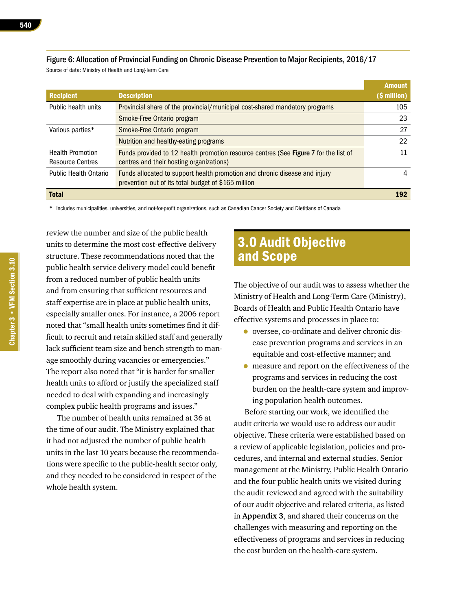# Figure 6: Allocation of Provincial Funding on Chronic Disease Prevention to Major Recipients, 2016/17

Source of data: Ministry of Health and Long-Term Care

|                              |                                                                                      | <b>Amount</b> |
|------------------------------|--------------------------------------------------------------------------------------|---------------|
| <b>Recipient</b>             | <b>Description</b>                                                                   | (\$ million)  |
| Public health units          | Provincial share of the provincial/municipal cost-shared mandatory programs          | 105           |
|                              | Smoke-Free Ontario program                                                           | 23            |
| Various parties*             | Smoke-Free Ontario program                                                           | 27            |
|                              | Nutrition and healthy-eating programs                                                | 22            |
| <b>Health Promotion</b>      | Funds provided to 12 health promotion resource centres (See Figure 7 for the list of | 11            |
| <b>Resource Centres</b>      | centres and their hosting organizations)                                             |               |
| <b>Public Health Ontario</b> | Funds allocated to support health promotion and chronic disease and injury           | 4             |
|                              | prevention out of its total budget of \$165 million                                  |               |
| <b>Total</b>                 |                                                                                      | 192           |

\* Includes municipalities, universities, and not-for-profit organizations, such as Canadian Cancer Society and Dietitians of Canada

review the number and size of the public health units to determine the most cost-effective delivery structure. These recommendations noted that the public health service delivery model could benefit from a reduced number of public health units and from ensuring that sufficient resources and staff expertise are in place at public health units, especially smaller ones. For instance, a 2006 report noted that "small health units sometimes find it difficult to recruit and retain skilled staff and generally lack sufficient team size and bench strength to manage smoothly during vacancies or emergencies." The report also noted that "it is harder for smaller health units to afford or justify the specialized staff needed to deal with expanding and increasingly complex public health programs and issues."

The number of health units remained at 36 at the time of our audit. The Ministry explained that it had not adjusted the number of public health units in the last 10 years because the recommendations were specific to the public-health sector only, and they needed to be considered in respect of the whole health system.

# 3.0 Audit Objective and Scope

The objective of our audit was to assess whether the Ministry of Health and Long-Term Care (Ministry), Boards of Health and Public Health Ontario have effective systems and processes in place to:

- oversee, co-ordinate and deliver chronic disease prevention programs and services in an equitable and cost-effective manner; and
- measure and report on the effectiveness of the programs and services in reducing the cost burden on the health-care system and improving population health outcomes.

Before starting our work, we identified the audit criteria we would use to address our audit objective. These criteria were established based on a review of applicable legislation, policies and procedures, and internal and external studies. Senior management at the Ministry, Public Health Ontario and the four public health units we visited during the audit reviewed and agreed with the suitability of our audit objective and related criteria, as listed in **Appendix 3**, and shared their concerns on the challenges with measuring and reporting on the effectiveness of programs and services in reducing the cost burden on the health-care system.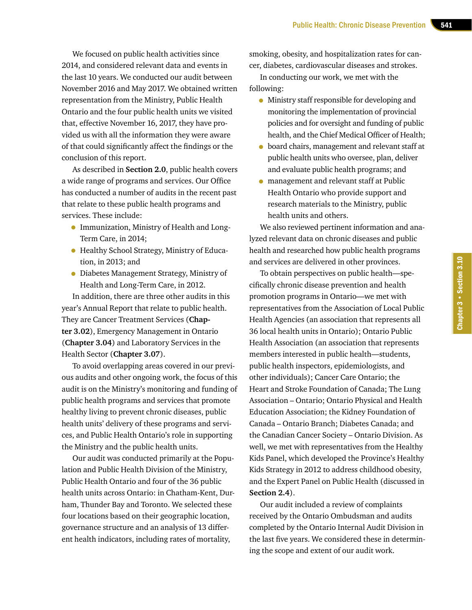We focused on public health activities since 2014, and considered relevant data and events in the last 10 years. We conducted our audit between November 2016 and May 2017. We obtained written representation from the Ministry, Public Health Ontario and the four public health units we visited that, effective November 16, 2017, they have provided us with all the information they were aware of that could significantly affect the findings or the conclusion of this report.

As described in **Section 2.0**, public health covers a wide range of programs and services. Our Office has conducted a number of audits in the recent past that relate to these public health programs and services. These include:

- Immunization, Ministry of Health and Long-Term Care, in 2014;
- Healthy School Strategy, Ministry of Education, in 2013; and
- Diabetes Management Strategy, Ministry of Health and Long-Term Care, in 2012.

In addition, there are three other audits in this year's Annual Report that relate to public health. They are Cancer Treatment Services (**Chapter 3.02**), Emergency Management in Ontario (**Chapter 3.04**) and Laboratory Services in the Health Sector (**Chapter 3.07**).

To avoid overlapping areas covered in our previous audits and other ongoing work, the focus of this audit is on the Ministry's monitoring and funding of public health programs and services that promote healthy living to prevent chronic diseases, public health units' delivery of these programs and services, and Public Health Ontario's role in supporting the Ministry and the public health units.

Our audit was conducted primarily at the Population and Public Health Division of the Ministry, Public Health Ontario and four of the 36 public health units across Ontario: in Chatham-Kent, Durham, Thunder Bay and Toronto. We selected these four locations based on their geographic location, governance structure and an analysis of 13 different health indicators, including rates of mortality,

smoking, obesity, and hospitalization rates for cancer, diabetes, cardiovascular diseases and strokes.

In conducting our work, we met with the following:

- Ministry staff responsible for developing and monitoring the implementation of provincial policies and for oversight and funding of public health, and the Chief Medical Officer of Health;
- board chairs, management and relevant staff at public health units who oversee, plan, deliver and evaluate public health programs; and
- management and relevant staff at Public Health Ontario who provide support and research materials to the Ministry, public health units and others.

We also reviewed pertinent information and analyzed relevant data on chronic diseases and public health and researched how public health programs and services are delivered in other provinces.

To obtain perspectives on public health—specifically chronic disease prevention and health promotion programs in Ontario—we met with representatives from the Association of Local Public Health Agencies (an association that represents all 36 local health units in Ontario); Ontario Public Health Association (an association that represents members interested in public health—students, public health inspectors, epidemiologists, and other individuals); Cancer Care Ontario; the Heart and Stroke Foundation of Canada; The Lung Association – Ontario; Ontario Physical and Health Education Association; the Kidney Foundation of Canada – Ontario Branch; Diabetes Canada; and the Canadian Cancer Society – Ontario Division. As well, we met with representatives from the Healthy Kids Panel, which developed the Province's Healthy Kids Strategy in 2012 to address childhood obesity, and the Expert Panel on Public Health (discussed in **Section 2.4**).

Our audit included a review of complaints received by the Ontario Ombudsman and audits completed by the Ontario Internal Audit Division in the last five years. We considered these in determining the scope and extent of our audit work.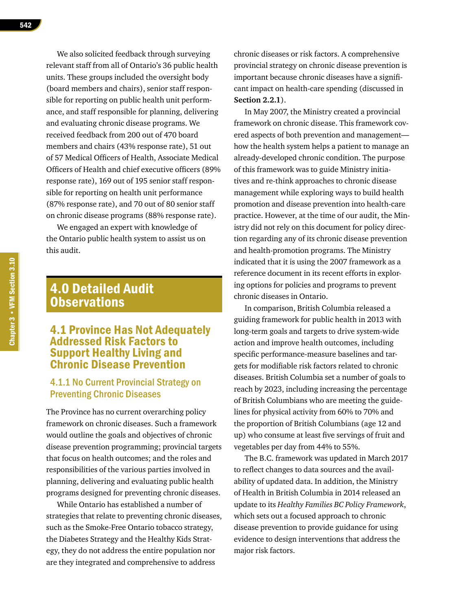We also solicited feedback through surveying relevant staff from all of Ontario's 36 public health units. These groups included the oversight body (board members and chairs), senior staff responsible for reporting on public health unit performance, and staff responsible for planning, delivering and evaluating chronic disease programs. We received feedback from 200 out of 470 board members and chairs (43% response rate), 51 out of 57 Medical Officers of Health, Associate Medical Officers of Health and chief executive officers (89% response rate), 169 out of 195 senior staff responsible for reporting on health unit performance (87% response rate), and 70 out of 80 senior staff on chronic disease programs (88% response rate).

We engaged an expert with knowledge of the Ontario public health system to assist us on this audit.

# 4.0 Detailed Audit **Observations**

# 4.1 Province Has Not Adequately Addressed Risk Factors to Support Healthy Living and Chronic Disease Prevention

# 4.1.1 No Current Provincial Strategy on Preventing Chronic Diseases

The Province has no current overarching policy framework on chronic diseases. Such a framework would outline the goals and objectives of chronic disease prevention programming; provincial targets that focus on health outcomes; and the roles and responsibilities of the various parties involved in planning, delivering and evaluating public health programs designed for preventing chronic diseases.

While Ontario has established a number of strategies that relate to preventing chronic diseases, such as the Smoke-Free Ontario tobacco strategy, the Diabetes Strategy and the Healthy Kids Strategy, they do not address the entire population nor are they integrated and comprehensive to address

chronic diseases or risk factors. A comprehensive provincial strategy on chronic disease prevention is important because chronic diseases have a significant impact on health-care spending (discussed in **Section 2.2.1**).

In May 2007, the Ministry created a provincial framework on chronic disease. This framework covered aspects of both prevention and management how the health system helps a patient to manage an already-developed chronic condition. The purpose of this framework was to guide Ministry initiatives and re-think approaches to chronic disease management while exploring ways to build health promotion and disease prevention into health-care practice. However, at the time of our audit, the Ministry did not rely on this document for policy direction regarding any of its chronic disease prevention and health-promotion programs. The Ministry indicated that it is using the 2007 framework as a reference document in its recent efforts in exploring options for policies and programs to prevent chronic diseases in Ontario.

In comparison, British Columbia released a guiding framework for public health in 2013 with long-term goals and targets to drive system-wide action and improve health outcomes, including specific performance-measure baselines and targets for modifiable risk factors related to chronic diseases. British Columbia set a number of goals to reach by 2023, including increasing the percentage of British Columbians who are meeting the guidelines for physical activity from 60% to 70% and the proportion of British Columbians (age 12 and up) who consume at least five servings of fruit and vegetables per day from 44% to 55%.

The B.C. framework was updated in March 2017 to reflect changes to data sources and the availability of updated data. In addition, the Ministry of Health in British Columbia in 2014 released an update to its *Healthy Families BC Policy Framework*, which sets out a focused approach to chronic disease prevention to provide guidance for using evidence to design interventions that address the major risk factors.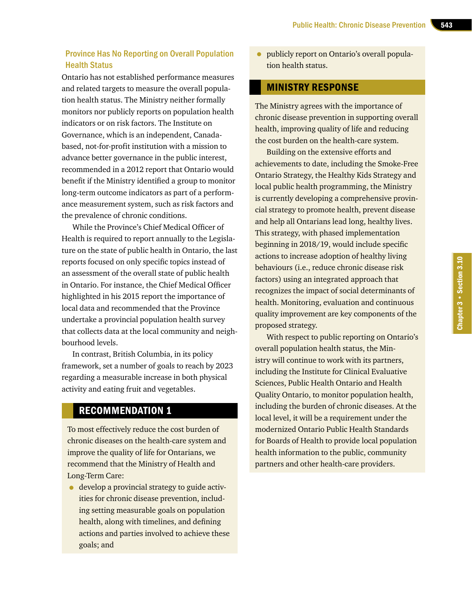### Province Has No Reporting on Overall Population Health Status

Ontario has not established performance measures and related targets to measure the overall population health status. The Ministry neither formally monitors nor publicly reports on population health indicators or on risk factors. The Institute on Governance, which is an independent, Canadabased, not-for-profit institution with a mission to advance better governance in the public interest, recommended in a 2012 report that Ontario would benefit if the Ministry identified a group to monitor long-term outcome indicators as part of a performance measurement system, such as risk factors and the prevalence of chronic conditions.

While the Province's Chief Medical Officer of Health is required to report annually to the Legislature on the state of public health in Ontario, the last reports focused on only specific topics instead of an assessment of the overall state of public health in Ontario. For instance, the Chief Medical Officer highlighted in his 2015 report the importance of local data and recommended that the Province undertake a provincial population health survey that collects data at the local community and neighbourhood levels.

In contrast, British Columbia, in its policy framework, set a number of goals to reach by 2023 regarding a measurable increase in both physical activity and eating fruit and vegetables.

### RECOMMENDATION 1

To most effectively reduce the cost burden of chronic diseases on the health-care system and improve the quality of life for Ontarians, we recommend that the Ministry of Health and Long-Term Care:

• develop a provincial strategy to guide activities for chronic disease prevention, including setting measurable goals on population health, along with timelines, and defining actions and parties involved to achieve these goals; and

• publicly report on Ontario's overall population health status.

### MINISTRY RESPONSE

The Ministry agrees with the importance of chronic disease prevention in supporting overall health, improving quality of life and reducing the cost burden on the health-care system.

Building on the extensive efforts and achievements to date, including the Smoke-Free Ontario Strategy, the Healthy Kids Strategy and local public health programming, the Ministry is currently developing a comprehensive provincial strategy to promote health, prevent disease and help all Ontarians lead long, healthy lives. This strategy, with phased implementation beginning in 2018/19, would include specific actions to increase adoption of healthy living behaviours (i.e., reduce chronic disease risk factors) using an integrated approach that recognizes the impact of social determinants of health. Monitoring, evaluation and continuous quality improvement are key components of the proposed strategy.

With respect to public reporting on Ontario's overall population health status, the Ministry will continue to work with its partners, including the Institute for Clinical Evaluative Sciences, Public Health Ontario and Health Quality Ontario, to monitor population health, including the burden of chronic diseases. At the local level, it will be a requirement under the modernized Ontario Public Health Standards for Boards of Health to provide local population health information to the public, community partners and other health-care providers.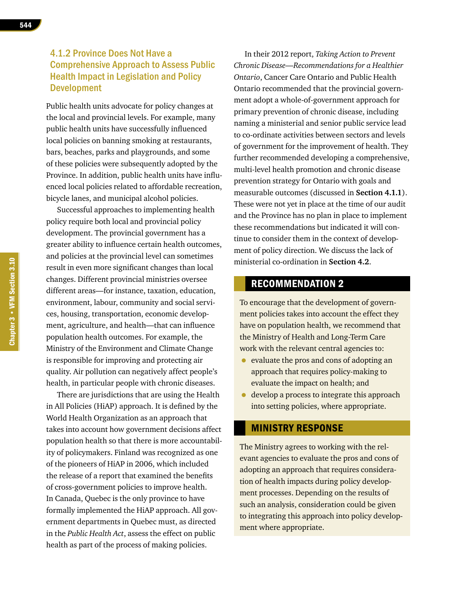# 4.1.2 Province Does Not Have a Comprehensive Approach to Assess Public Health Impact in Legislation and Policy Development

Public health units advocate for policy changes at the local and provincial levels. For example, many public health units have successfully influenced local policies on banning smoking at restaurants, bars, beaches, parks and playgrounds, and some of these policies were subsequently adopted by the Province. In addition, public health units have influenced local policies related to affordable recreation, bicycle lanes, and municipal alcohol policies.

Successful approaches to implementing health policy require both local and provincial policy development. The provincial government has a greater ability to influence certain health outcomes, and policies at the provincial level can sometimes result in even more significant changes than local changes. Different provincial ministries oversee different areas—for instance, taxation, education, environment, labour, community and social services, housing, transportation, economic development, agriculture, and health—that can influence population health outcomes. For example, the Ministry of the Environment and Climate Change is responsible for improving and protecting air quality. Air pollution can negatively affect people's health, in particular people with chronic diseases.

There are jurisdictions that are using the Health in All Policies (HiAP) approach. It is defined by the World Health Organization as an approach that takes into account how government decisions affect population health so that there is more accountability of policymakers. Finland was recognized as one of the pioneers of HiAP in 2006, which included the release of a report that examined the benefits of cross-government policies to improve health. In Canada, Quebec is the only province to have formally implemented the HiAP approach. All government departments in Quebec must, as directed in the *Public Health Act*, assess the effect on public health as part of the process of making policies.

In their 2012 report, *Taking Action to Prevent Chronic Disease—Recommendations for a Healthier Ontario*, Cancer Care Ontario and Public Health Ontario recommended that the provincial government adopt a whole-of-government approach for primary prevention of chronic disease, including naming a ministerial and senior public service lead to co-ordinate activities between sectors and levels of government for the improvement of health. They further recommended developing a comprehensive, multi-level health promotion and chronic disease prevention strategy for Ontario with goals and measurable outcomes (discussed in **Section 4.1.1**). These were not yet in place at the time of our audit and the Province has no plan in place to implement these recommendations but indicated it will continue to consider them in the context of development of policy direction. We discuss the lack of ministerial co-ordination in **Section 4.2**.

### RECOMMENDATION 2

To encourage that the development of government policies takes into account the effect they have on population health, we recommend that the Ministry of Health and Long-Term Care work with the relevant central agencies to:

- evaluate the pros and cons of adopting an approach that requires policy-making to evaluate the impact on health; and
- develop a process to integrate this approach into setting policies, where appropriate.

### MINISTRY RESPONSE

The Ministry agrees to working with the relevant agencies to evaluate the pros and cons of adopting an approach that requires consideration of health impacts during policy development processes. Depending on the results of such an analysis, consideration could be given to integrating this approach into policy development where appropriate.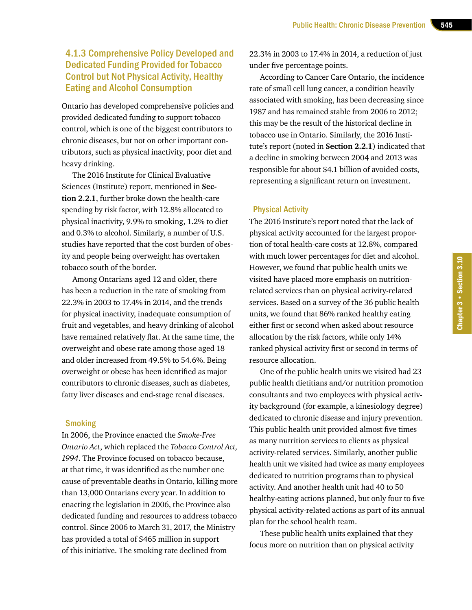# 4.1.3 Comprehensive Policy Developed and Dedicated Funding Provided for Tobacco Control but Not Physical Activity, Healthy Eating and Alcohol Consumption

Ontario has developed comprehensive policies and provided dedicated funding to support tobacco control, which is one of the biggest contributors to chronic diseases, but not on other important contributors, such as physical inactivity, poor diet and heavy drinking.

The 2016 Institute for Clinical Evaluative Sciences (Institute) report, mentioned in **Section 2.2.1**, further broke down the health-care spending by risk factor, with 12.8% allocated to physical inactivity, 9.9% to smoking, 1.2% to diet and 0.3% to alcohol. Similarly, a number of U.S. studies have reported that the cost burden of obesity and people being overweight has overtaken tobacco south of the border.

Among Ontarians aged 12 and older, there has been a reduction in the rate of smoking from 22.3% in 2003 to 17.4% in 2014, and the trends for physical inactivity, inadequate consumption of fruit and vegetables, and heavy drinking of alcohol have remained relatively flat. At the same time, the overweight and obese rate among those aged 18 and older increased from 49.5% to 54.6%. Being overweight or obese has been identified as major contributors to chronic diseases, such as diabetes, fatty liver diseases and end-stage renal diseases.

### **Smoking**

In 2006, the Province enacted the *Smoke-Free Ontario Act*, which replaced the *Tobacco Control Act, 1994*. The Province focused on tobacco because, at that time, it was identified as the number one cause of preventable deaths in Ontario, killing more than 13,000 Ontarians every year. In addition to enacting the legislation in 2006, the Province also dedicated funding and resources to address tobacco control. Since 2006 to March 31, 2017, the Ministry has provided a total of \$465 million in support of this initiative. The smoking rate declined from

22.3% in 2003 to 17.4% in 2014, a reduction of just under five percentage points.

According to Cancer Care Ontario, the incidence rate of small cell lung cancer, a condition heavily associated with smoking, has been decreasing since 1987 and has remained stable from 2006 to 2012; this may be the result of the historical decline in tobacco use in Ontario. Similarly, the 2016 Institute's report (noted in **Section 2.2.1**) indicated that a decline in smoking between 2004 and 2013 was responsible for about \$4.1 billion of avoided costs, representing a significant return on investment.

### Physical Activity

The 2016 Institute's report noted that the lack of physical activity accounted for the largest proportion of total health-care costs at 12.8%, compared with much lower percentages for diet and alcohol. However, we found that public health units we visited have placed more emphasis on nutritionrelated services than on physical activity-related services. Based on a survey of the 36 public health units, we found that 86% ranked healthy eating either first or second when asked about resource allocation by the risk factors, while only 14% ranked physical activity first or second in terms of resource allocation.

One of the public health units we visited had 23 public health dietitians and/or nutrition promotion consultants and two employees with physical activity background (for example, a kinesiology degree) dedicated to chronic disease and injury prevention. This public health unit provided almost five times as many nutrition services to clients as physical activity-related services. Similarly, another public health unit we visited had twice as many employees dedicated to nutrition programs than to physical activity. And another health unit had 40 to 50 healthy-eating actions planned, but only four to five physical activity-related actions as part of its annual plan for the school health team.

These public health units explained that they focus more on nutrition than on physical activity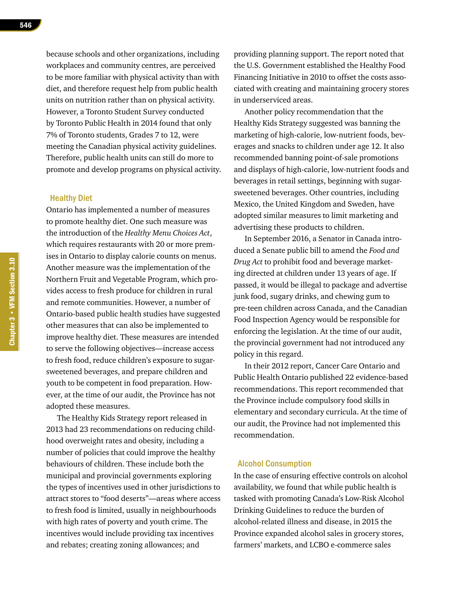because schools and other organizations, including workplaces and community centres, are perceived to be more familiar with physical activity than with diet, and therefore request help from public health units on nutrition rather than on physical activity. However, a Toronto Student Survey conducted by Toronto Public Health in 2014 found that only 7% of Toronto students, Grades 7 to 12, were meeting the Canadian physical activity guidelines. Therefore, public health units can still do more to promote and develop programs on physical activity.

### Healthy Diet

Ontario has implemented a number of measures to promote healthy diet. One such measure was the introduction of the *Healthy Menu Choices Act*, which requires restaurants with 20 or more premises in Ontario to display calorie counts on menus. Another measure was the implementation of the Northern Fruit and Vegetable Program, which provides access to fresh produce for children in rural and remote communities. However, a number of Ontario-based public health studies have suggested other measures that can also be implemented to improve healthy diet. These measures are intended to serve the following objectives—increase access to fresh food, reduce children's exposure to sugarsweetened beverages, and prepare children and youth to be competent in food preparation. However, at the time of our audit, the Province has not adopted these measures.

The Healthy Kids Strategy report released in 2013 had 23 recommendations on reducing childhood overweight rates and obesity, including a number of policies that could improve the healthy behaviours of children. These include both the municipal and provincial governments exploring the types of incentives used in other jurisdictions to attract stores to "food deserts"—areas where access to fresh food is limited, usually in neighbourhoods with high rates of poverty and youth crime. The incentives would include providing tax incentives and rebates; creating zoning allowances; and

providing planning support. The report noted that the U.S. Government established the Healthy Food Financing Initiative in 2010 to offset the costs associated with creating and maintaining grocery stores in underserviced areas.

Another policy recommendation that the Healthy Kids Strategy suggested was banning the marketing of high-calorie, low-nutrient foods, beverages and snacks to children under age 12. It also recommended banning point-of-sale promotions and displays of high-calorie, low-nutrient foods and beverages in retail settings, beginning with sugarsweetened beverages. Other countries, including Mexico, the United Kingdom and Sweden, have adopted similar measures to limit marketing and advertising these products to children.

In September 2016, a Senator in Canada introduced a Senate public bill to amend the *Food and Drug Act* to prohibit food and beverage marketing directed at children under 13 years of age. If passed, it would be illegal to package and advertise junk food, sugary drinks, and chewing gum to pre-teen children across Canada, and the Canadian Food Inspection Agency would be responsible for enforcing the legislation. At the time of our audit, the provincial government had not introduced any policy in this regard.

In their 2012 report, Cancer Care Ontario and Public Health Ontario published 22 evidence-based recommendations. This report recommended that the Province include compulsory food skills in elementary and secondary curricula. At the time of our audit, the Province had not implemented this recommendation.

### Alcohol Consumption

In the case of ensuring effective controls on alcohol availability, we found that while public health is tasked with promoting Canada's Low-Risk Alcohol Drinking Guidelines to reduce the burden of alcohol-related illness and disease, in 2015 the Province expanded alcohol sales in grocery stores, farmers' markets, and LCBO e-commerce sales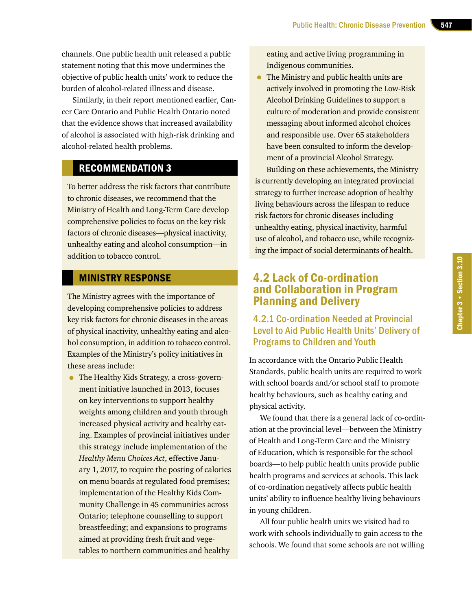channels. One public health unit released a public statement noting that this move undermines the objective of public health units' work to reduce the burden of alcohol-related illness and disease.

Similarly, in their report mentioned earlier, Cancer Care Ontario and Public Health Ontario noted that the evidence shows that increased availability of alcohol is associated with high-risk drinking and alcohol-related health problems.

# RECOMMENDATION 3

To better address the risk factors that contribute to chronic diseases, we recommend that the Ministry of Health and Long-Term Care develop comprehensive policies to focus on the key risk factors of chronic diseases—physical inactivity, unhealthy eating and alcohol consumption—in addition to tobacco control.

### MINISTRY RESPONSE

The Ministry agrees with the importance of developing comprehensive policies to address key risk factors for chronic diseases in the areas of physical inactivity, unhealthy eating and alcohol consumption, in addition to tobacco control. Examples of the Ministry's policy initiatives in these areas include:

• The Healthy Kids Strategy, a cross-government initiative launched in 2013, focuses on key interventions to support healthy weights among children and youth through increased physical activity and healthy eating. Examples of provincial initiatives under this strategy include implementation of the *Healthy Menu Choices Act*, effective January 1, 2017, to require the posting of calories on menu boards at regulated food premises; implementation of the Healthy Kids Community Challenge in 45 communities across Ontario; telephone counselling to support breastfeeding; and expansions to programs aimed at providing fresh fruit and vegetables to northern communities and healthy

eating and active living programming in Indigenous communities.

• The Ministry and public health units are actively involved in promoting the Low-Risk Alcohol Drinking Guidelines to support a culture of moderation and provide consistent messaging about informed alcohol choices and responsible use. Over 65 stakeholders have been consulted to inform the development of a provincial Alcohol Strategy.

Building on these achievements, the Ministry is currently developing an integrated provincial strategy to further increase adoption of healthy living behaviours across the lifespan to reduce risk factors for chronic diseases including unhealthy eating, physical inactivity, harmful use of alcohol, and tobacco use, while recognizing the impact of social determinants of health.

# 4.2 Lack of Co-ordination and Collaboration in Program Planning and Delivery

# 4.2.1 Co-ordination Needed at Provincial Level to Aid Public Health Units' Delivery of Programs to Children and Youth

In accordance with the Ontario Public Health Standards, public health units are required to work with school boards and/or school staff to promote healthy behaviours, such as healthy eating and physical activity.

We found that there is a general lack of co-ordination at the provincial level—between the Ministry of Health and Long-Term Care and the Ministry of Education, which is responsible for the school boards—to help public health units provide public health programs and services at schools. This lack of co-ordination negatively affects public health units' ability to influence healthy living behaviours in young children.

All four public health units we visited had to work with schools individually to gain access to the schools. We found that some schools are not willing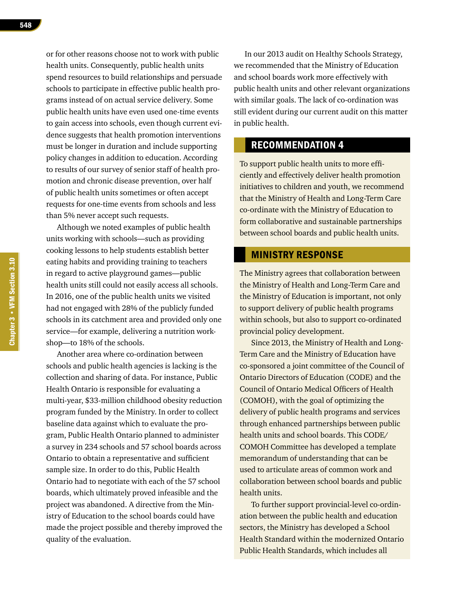or for other reasons choose not to work with public health units. Consequently, public health units spend resources to build relationships and persuade schools to participate in effective public health programs instead of on actual service delivery. Some public health units have even used one-time events to gain access into schools, even though current evidence suggests that health promotion interventions must be longer in duration and include supporting policy changes in addition to education. According to results of our survey of senior staff of health promotion and chronic disease prevention, over half of public health units sometimes or often accept requests for one-time events from schools and less than 5% never accept such requests.

Although we noted examples of public health units working with schools—such as providing cooking lessons to help students establish better eating habits and providing training to teachers in regard to active playground games—public health units still could not easily access all schools. In 2016, one of the public health units we visited had not engaged with 28% of the publicly funded schools in its catchment area and provided only one service—for example, delivering a nutrition workshop—to 18% of the schools.

Another area where co-ordination between schools and public health agencies is lacking is the collection and sharing of data. For instance, Public Health Ontario is responsible for evaluating a multi-year, \$33-million childhood obesity reduction program funded by the Ministry. In order to collect baseline data against which to evaluate the program, Public Health Ontario planned to administer a survey in 234 schools and 57 school boards across Ontario to obtain a representative and sufficient sample size. In order to do this, Public Health Ontario had to negotiate with each of the 57 school boards, which ultimately proved infeasible and the project was abandoned. A directive from the Ministry of Education to the school boards could have made the project possible and thereby improved the quality of the evaluation.

In our 2013 audit on Healthy Schools Strategy, we recommended that the Ministry of Education and school boards work more effectively with public health units and other relevant organizations with similar goals. The lack of co-ordination was still evident during our current audit on this matter in public health.

# RECOMMENDATION 4

To support public health units to more efficiently and effectively deliver health promotion initiatives to children and youth, we recommend that the Ministry of Health and Long-Term Care co-ordinate with the Ministry of Education to form collaborative and sustainable partnerships between school boards and public health units.

# MINISTRY RESPONSE

The Ministry agrees that collaboration between the Ministry of Health and Long-Term Care and the Ministry of Education is important, not only to support delivery of public health programs within schools, but also to support co-ordinated provincial policy development.

Since 2013, the Ministry of Health and Long-Term Care and the Ministry of Education have co-sponsored a joint committee of the Council of Ontario Directors of Education (CODE) and the Council of Ontario Medical Officers of Health (COMOH), with the goal of optimizing the delivery of public health programs and services through enhanced partnerships between public health units and school boards. This CODE/ COMOH Committee has developed a template memorandum of understanding that can be used to articulate areas of common work and collaboration between school boards and public health units.

To further support provincial-level co-ordination between the public health and education sectors, the Ministry has developed a School Health Standard within the modernized Ontario Public Health Standards, which includes all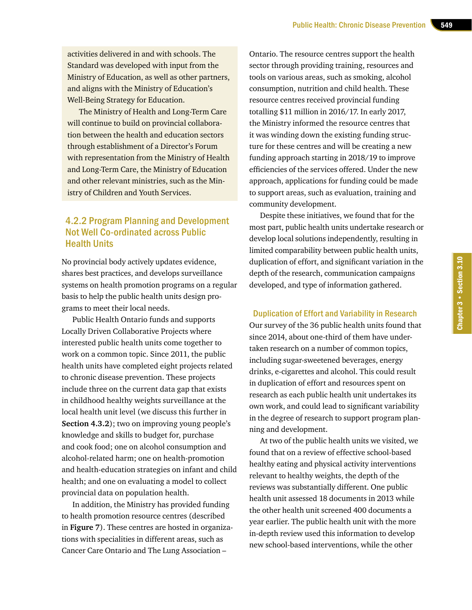activities delivered in and with schools. The Standard was developed with input from the Ministry of Education, as well as other partners, and aligns with the Ministry of Education's Well-Being Strategy for Education.

The Ministry of Health and Long-Term Care will continue to build on provincial collaboration between the health and education sectors through establishment of a Director's Forum with representation from the Ministry of Health and Long-Term Care, the Ministry of Education and other relevant ministries, such as the Ministry of Children and Youth Services.

# 4.2.2 Program Planning and Development Not Well Co-ordinated across Public Health Units

No provincial body actively updates evidence, shares best practices, and develops surveillance systems on health promotion programs on a regular basis to help the public health units design programs to meet their local needs.

Public Health Ontario funds and supports Locally Driven Collaborative Projects where interested public health units come together to work on a common topic. Since 2011, the public health units have completed eight projects related to chronic disease prevention. These projects include three on the current data gap that exists in childhood healthy weights surveillance at the local health unit level (we discuss this further in **Section 4.3.2**); two on improving young people's knowledge and skills to budget for, purchase and cook food; one on alcohol consumption and alcohol-related harm; one on health-promotion and health-education strategies on infant and child health; and one on evaluating a model to collect provincial data on population health.

In addition, the Ministry has provided funding to health promotion resource centres (described in **Figure 7**). These centres are hosted in organizations with specialities in different areas, such as Cancer Care Ontario and The Lung Association –

Ontario. The resource centres support the health sector through providing training, resources and tools on various areas, such as smoking, alcohol consumption, nutrition and child health. These resource centres received provincial funding totalling \$11 million in 2016/17. In early 2017, the Ministry informed the resource centres that it was winding down the existing funding structure for these centres and will be creating a new funding approach starting in 2018/19 to improve efficiencies of the services offered. Under the new approach, applications for funding could be made to support areas, such as evaluation, training and community development.

Despite these initiatives, we found that for the most part, public health units undertake research or develop local solutions independently, resulting in limited comparability between public health units, duplication of effort, and significant variation in the depth of the research, communication campaigns developed, and type of information gathered.

### Duplication of Effort and Variability in Research

Our survey of the 36 public health units found that since 2014, about one-third of them have undertaken research on a number of common topics, including sugar-sweetened beverages, energy drinks, e-cigarettes and alcohol. This could result in duplication of effort and resources spent on research as each public health unit undertakes its own work, and could lead to significant variability in the degree of research to support program planning and development.

At two of the public health units we visited, we found that on a review of effective school-based healthy eating and physical activity interventions relevant to healthy weights, the depth of the reviews was substantially different. One public health unit assessed 18 documents in 2013 while the other health unit screened 400 documents a year earlier. The public health unit with the more in-depth review used this information to develop new school-based interventions, while the other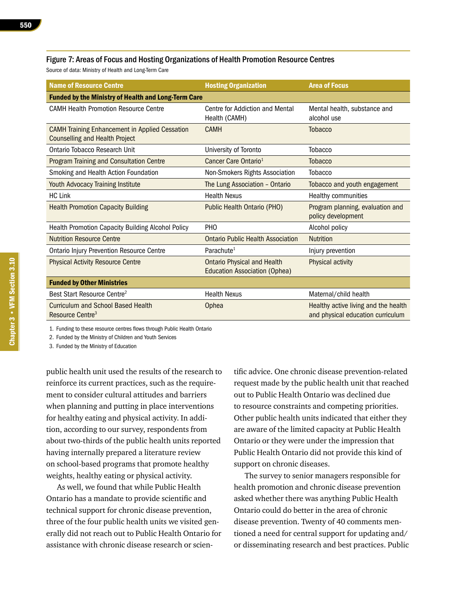### Figure 7: Areas of Focus and Hosting Organizations of Health Promotion Resource Centres

Source of data: Ministry of Health and Long-Term Care

| <b>Name of Resource Centre</b>                                                                 | <b>Hosting Organization</b>                                                | <b>Area of Focus</b>                                                      |  |  |
|------------------------------------------------------------------------------------------------|----------------------------------------------------------------------------|---------------------------------------------------------------------------|--|--|
| <b>Funded by the Ministry of Health and Long-Term Care</b>                                     |                                                                            |                                                                           |  |  |
| <b>CAMH Health Promotion Resource Centre</b>                                                   | Centre for Addiction and Mental<br>Health (CAMH)                           | Mental health, substance and<br>alcohol use                               |  |  |
| <b>CAMH Training Enhancement in Applied Cessation</b><br><b>Counselling and Health Project</b> | <b>CAMH</b>                                                                | <b>Tobacco</b>                                                            |  |  |
| Ontario Tobacco Research Unit                                                                  | University of Toronto                                                      | <b>Tobacco</b>                                                            |  |  |
| <b>Program Training and Consultation Centre</b>                                                | Cancer Care Ontario <sup>1</sup>                                           | <b>Tobacco</b>                                                            |  |  |
| Smoking and Health Action Foundation                                                           | Non-Smokers Rights Association                                             | Tobacco                                                                   |  |  |
| Youth Advocacy Training Institute                                                              | The Lung Association - Ontario                                             | Tobacco and youth engagement                                              |  |  |
| <b>HC Link</b>                                                                                 | <b>Health Nexus</b>                                                        | Healthy communities                                                       |  |  |
| <b>Health Promotion Capacity Building</b>                                                      | <b>Public Health Ontario (PHO)</b>                                         | Program planning, evaluation and<br>policy development                    |  |  |
| Health Promotion Capacity Building Alcohol Policy                                              | PH <sub>O</sub>                                                            | Alcohol policy                                                            |  |  |
| <b>Nutrition Resource Centre</b>                                                               | <b>Ontario Public Health Association</b>                                   | <b>Nutrition</b>                                                          |  |  |
| <b>Ontario Injury Prevention Resource Centre</b>                                               | Parachute <sup>1</sup>                                                     | Injury prevention                                                         |  |  |
| <b>Physical Activity Resource Centre</b>                                                       | <b>Ontario Physical and Health</b><br><b>Education Association (Ophea)</b> | Physical activity                                                         |  |  |
| <b>Funded by Other Ministries</b>                                                              |                                                                            |                                                                           |  |  |
| Best Start Resource Centre <sup>2</sup>                                                        | <b>Health Nexus</b>                                                        | Maternal/child health                                                     |  |  |
| <b>Curriculum and School Based Health</b><br>Resource Centre <sup>3</sup>                      | Ophea                                                                      | Healthy active living and the health<br>and physical education curriculum |  |  |

1. Funding to these resource centres flows through Public Health Ontario

2. Funded by the Ministry of Children and Youth Services

3. Funded by the Ministry of Education

public health unit used the results of the research to reinforce its current practices, such as the requirement to consider cultural attitudes and barriers when planning and putting in place interventions for healthy eating and physical activity. In addition, according to our survey, respondents from about two-thirds of the public health units reported having internally prepared a literature review on school-based programs that promote healthy weights, healthy eating or physical activity.

As well, we found that while Public Health Ontario has a mandate to provide scientific and technical support for chronic disease prevention, three of the four public health units we visited generally did not reach out to Public Health Ontario for assistance with chronic disease research or scientific advice. One chronic disease prevention-related request made by the public health unit that reached out to Public Health Ontario was declined due to resource constraints and competing priorities. Other public health units indicated that either they are aware of the limited capacity at Public Health Ontario or they were under the impression that Public Health Ontario did not provide this kind of support on chronic diseases.

The survey to senior managers responsible for health promotion and chronic disease prevention asked whether there was anything Public Health Ontario could do better in the area of chronic disease prevention. Twenty of 40 comments mentioned a need for central support for updating and/ or disseminating research and best practices. Public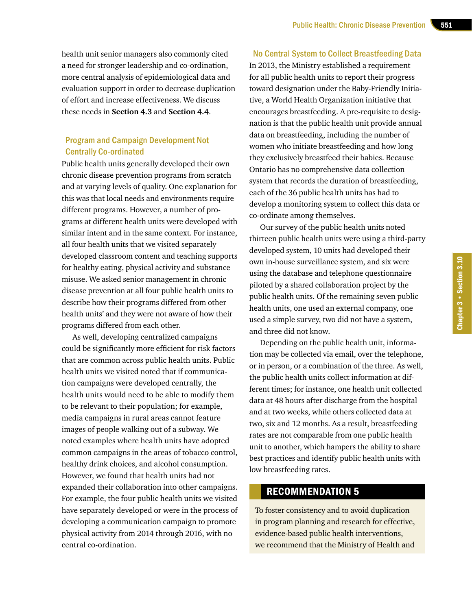health unit senior managers also commonly cited a need for stronger leadership and co-ordination, more central analysis of epidemiological data and evaluation support in order to decrease duplication of effort and increase effectiveness. We discuss these needs in **Section 4.3** and **Section 4.4**.

### Program and Campaign Development Not Centrally Co-ordinated

Public health units generally developed their own chronic disease prevention programs from scratch and at varying levels of quality. One explanation for this was that local needs and environments require different programs. However, a number of programs at different health units were developed with similar intent and in the same context. For instance, all four health units that we visited separately developed classroom content and teaching supports for healthy eating, physical activity and substance misuse. We asked senior management in chronic disease prevention at all four public health units to describe how their programs differed from other health units' and they were not aware of how their programs differed from each other.

As well, developing centralized campaigns could be significantly more efficient for risk factors that are common across public health units. Public health units we visited noted that if communication campaigns were developed centrally, the health units would need to be able to modify them to be relevant to their population; for example, media campaigns in rural areas cannot feature images of people walking out of a subway. We noted examples where health units have adopted common campaigns in the areas of tobacco control, healthy drink choices, and alcohol consumption. However, we found that health units had not expanded their collaboration into other campaigns. For example, the four public health units we visited have separately developed or were in the process of developing a communication campaign to promote physical activity from 2014 through 2016, with no central co-ordination.

### No Central System to Collect Breastfeeding Data

In 2013, the Ministry established a requirement for all public health units to report their progress toward designation under the Baby-Friendly Initiative, a World Health Organization initiative that encourages breastfeeding. A pre-requisite to designation is that the public health unit provide annual data on breastfeeding, including the number of women who initiate breastfeeding and how long they exclusively breastfeed their babies. Because Ontario has no comprehensive data collection system that records the duration of breastfeeding, each of the 36 public health units has had to develop a monitoring system to collect this data or co-ordinate among themselves.

Our survey of the public health units noted thirteen public health units were using a third-party developed system, 10 units had developed their own in-house surveillance system, and six were using the database and telephone questionnaire piloted by a shared collaboration project by the public health units. Of the remaining seven public health units, one used an external company, one used a simple survey, two did not have a system, and three did not know.

Depending on the public health unit, information may be collected via email, over the telephone, or in person, or a combination of the three. As well, the public health units collect information at different times; for instance, one health unit collected data at 48 hours after discharge from the hospital and at two weeks, while others collected data at two, six and 12 months. As a result, breastfeeding rates are not comparable from one public health unit to another, which hampers the ability to share best practices and identify public health units with low breastfeeding rates.

### RECOMMENDATION 5

To foster consistency and to avoid duplication in program planning and research for effective, evidence-based public health interventions, we recommend that the Ministry of Health and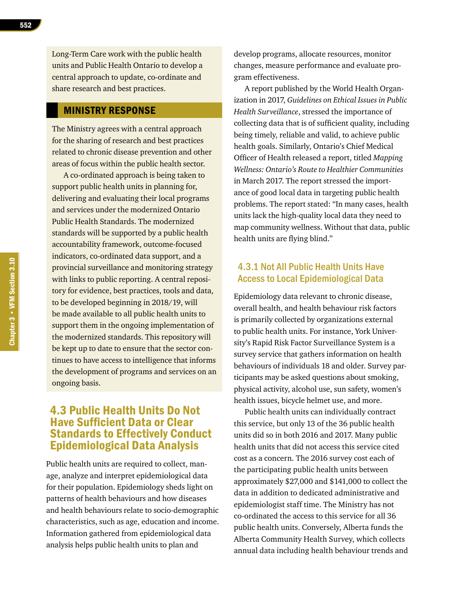Long-Term Care work with the public health units and Public Health Ontario to develop a central approach to update, co-ordinate and share research and best practices.

### MINISTRY RESPONSE

The Ministry agrees with a central approach for the sharing of research and best practices related to chronic disease prevention and other areas of focus within the public health sector.

A co-ordinated approach is being taken to support public health units in planning for, delivering and evaluating their local programs and services under the modernized Ontario Public Health Standards. The modernized standards will be supported by a public health accountability framework, outcome-focused indicators, co-ordinated data support, and a provincial surveillance and monitoring strategy with links to public reporting. A central repository for evidence, best practices, tools and data, to be developed beginning in 2018/19, will be made available to all public health units to support them in the ongoing implementation of the modernized standards. This repository will be kept up to date to ensure that the sector continues to have access to intelligence that informs the development of programs and services on an ongoing basis.

# 4.3 Public Health Units Do Not Have Sufficient Data or Clear Standards to Effectively Conduct Epidemiological Data Analysis

Public health units are required to collect, manage, analyze and interpret epidemiological data for their population. Epidemiology sheds light on patterns of health behaviours and how diseases and health behaviours relate to socio-demographic characteristics, such as age, education and income. Information gathered from epidemiological data analysis helps public health units to plan and

develop programs, allocate resources, monitor changes, measure performance and evaluate program effectiveness.

A report published by the World Health Organization in 2017, *Guidelines on Ethical Issues in Public Health Surveillance*, stressed the importance of collecting data that is of sufficient quality, including being timely, reliable and valid, to achieve public health goals. Similarly, Ontario's Chief Medical Officer of Health released a report, titled *Mapping Wellness: Ontario's Route to Healthier Communities*  in March 2017. The report stressed the importance of good local data in targeting public health problems. The report stated: "In many cases, health units lack the high-quality local data they need to map community wellness. Without that data, public health units are flying blind."

# 4.3.1 Not All Public Health Units Have Access to Local Epidemiological Data

Epidemiology data relevant to chronic disease, overall health, and health behaviour risk factors is primarily collected by organizations external to public health units. For instance, York University's Rapid Risk Factor Surveillance System is a survey service that gathers information on health behaviours of individuals 18 and older. Survey participants may be asked questions about smoking, physical activity, alcohol use, sun safety, women's health issues, bicycle helmet use, and more.

Public health units can individually contract this service, but only 13 of the 36 public health units did so in both 2016 and 2017. Many public health units that did not access this service cited cost as a concern. The 2016 survey cost each of the participating public health units between approximately \$27,000 and \$141,000 to collect the data in addition to dedicated administrative and epidemiologist staff time. The Ministry has not co-ordinated the access to this service for all 36 public health units. Conversely, Alberta funds the Alberta Community Health Survey, which collects annual data including health behaviour trends and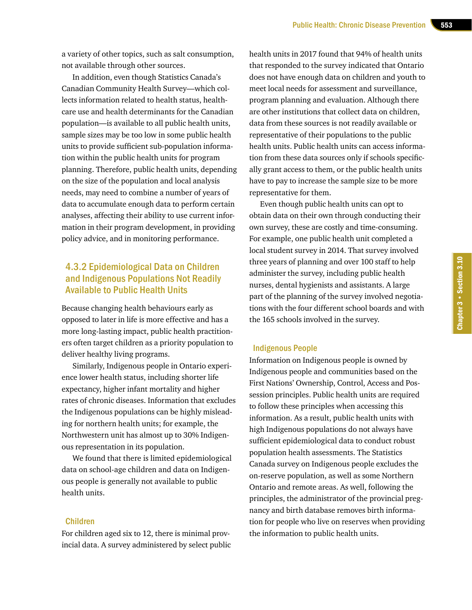a variety of other topics, such as salt consumption, not available through other sources.

In addition, even though Statistics Canada's Canadian Community Health Survey—which collects information related to health status, healthcare use and health determinants for the Canadian population—is available to all public health units, sample sizes may be too low in some public health units to provide sufficient sub-population information within the public health units for program planning. Therefore, public health units, depending on the size of the population and local analysis needs, may need to combine a number of years of data to accumulate enough data to perform certain analyses, affecting their ability to use current information in their program development, in providing policy advice, and in monitoring performance.

# 4.3.2 Epidemiological Data on Children and Indigenous Populations Not Readily Available to Public Health Units

Because changing health behaviours early as opposed to later in life is more effective and has a more long-lasting impact, public health practitioners often target children as a priority population to deliver healthy living programs.

Similarly, Indigenous people in Ontario experience lower health status, including shorter life expectancy, higher infant mortality and higher rates of chronic diseases. Information that excludes the Indigenous populations can be highly misleading for northern health units; for example, the Northwestern unit has almost up to 30% Indigenous representation in its population.

We found that there is limited epidemiological data on school-age children and data on Indigenous people is generally not available to public health units.

### Children

For children aged six to 12, there is minimal provincial data. A survey administered by select public health units in 2017 found that 94% of health units that responded to the survey indicated that Ontario does not have enough data on children and youth to meet local needs for assessment and surveillance, program planning and evaluation. Although there are other institutions that collect data on children, data from these sources is not readily available or representative of their populations to the public health units. Public health units can access information from these data sources only if schools specifically grant access to them, or the public health units have to pay to increase the sample size to be more representative for them.

Even though public health units can opt to obtain data on their own through conducting their own survey, these are costly and time-consuming. For example, one public health unit completed a local student survey in 2014. That survey involved three years of planning and over 100 staff to help administer the survey, including public health nurses, dental hygienists and assistants. A large part of the planning of the survey involved negotiations with the four different school boards and with the 165 schools involved in the survey.

### Indigenous People

Information on Indigenous people is owned by Indigenous people and communities based on the First Nations' Ownership, Control, Access and Possession principles. Public health units are required to follow these principles when accessing this information. As a result, public health units with high Indigenous populations do not always have sufficient epidemiological data to conduct robust population health assessments. The Statistics Canada survey on Indigenous people excludes the on-reserve population, as well as some Northern Ontario and remote areas. As well, following the principles, the administrator of the provincial pregnancy and birth database removes birth information for people who live on reserves when providing the information to public health units.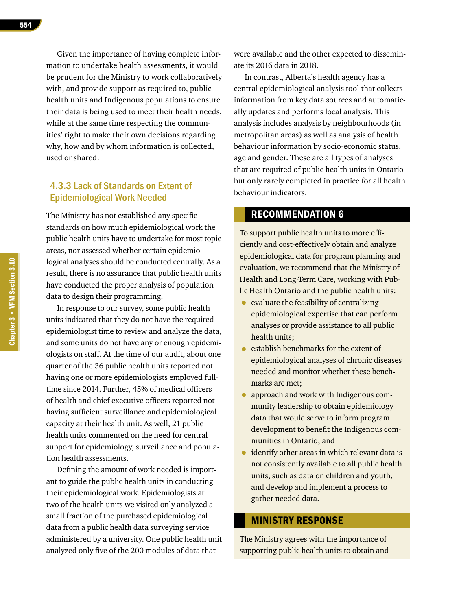Given the importance of having complete information to undertake health assessments, it would be prudent for the Ministry to work collaboratively with, and provide support as required to, public health units and Indigenous populations to ensure their data is being used to meet their health needs, while at the same time respecting the communities' right to make their own decisions regarding why, how and by whom information is collected, used or shared.

# 4.3.3 Lack of Standards on Extent of Epidemiological Work Needed

The Ministry has not established any specific standards on how much epidemiological work the public health units have to undertake for most topic areas, nor assessed whether certain epidemiological analyses should be conducted centrally. As a result, there is no assurance that public health units have conducted the proper analysis of population data to design their programming.

In response to our survey, some public health units indicated that they do not have the required epidemiologist time to review and analyze the data, and some units do not have any or enough epidemiologists on staff. At the time of our audit, about one quarter of the 36 public health units reported not having one or more epidemiologists employed fulltime since 2014. Further, 45% of medical officers of health and chief executive officers reported not having sufficient surveillance and epidemiological capacity at their health unit. As well, 21 public health units commented on the need for central support for epidemiology, surveillance and population health assessments.

Defining the amount of work needed is important to guide the public health units in conducting their epidemiological work. Epidemiologists at two of the health units we visited only analyzed a small fraction of the purchased epidemiological data from a public health data surveying service administered by a university. One public health unit analyzed only five of the 200 modules of data that

were available and the other expected to disseminate its 2016 data in 2018.

In contrast, Alberta's health agency has a central epidemiological analysis tool that collects information from key data sources and automatically updates and performs local analysis. This analysis includes analysis by neighbourhoods (in metropolitan areas) as well as analysis of health behaviour information by socio-economic status, age and gender. These are all types of analyses that are required of public health units in Ontario but only rarely completed in practice for all health behaviour indicators.

# RECOMMENDATION 6

To support public health units to more efficiently and cost-effectively obtain and analyze epidemiological data for program planning and evaluation, we recommend that the Ministry of Health and Long-Term Care, working with Public Health Ontario and the public health units:

- evaluate the feasibility of centralizing epidemiological expertise that can perform analyses or provide assistance to all public health units;
- establish benchmarks for the extent of epidemiological analyses of chronic diseases needed and monitor whether these benchmarks are met;
- approach and work with Indigenous community leadership to obtain epidemiology data that would serve to inform program development to benefit the Indigenous communities in Ontario; and
- identify other areas in which relevant data is not consistently available to all public health units, such as data on children and youth, and develop and implement a process to gather needed data.

### MINISTRY RESPONSE

The Ministry agrees with the importance of supporting public health units to obtain and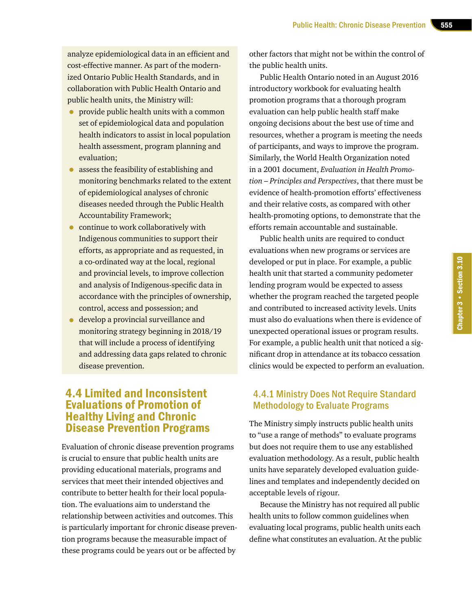analyze epidemiological data in an efficient and cost-effective manner. As part of the modernized Ontario Public Health Standards, and in collaboration with Public Health Ontario and public health units, the Ministry will:

- provide public health units with a common set of epidemiological data and population health indicators to assist in local population health assessment, program planning and evaluation;
- assess the feasibility of establishing and monitoring benchmarks related to the extent of epidemiological analyses of chronic diseases needed through the Public Health Accountability Framework;
- continue to work collaboratively with Indigenous communities to support their efforts, as appropriate and as requested, in a co-ordinated way at the local, regional and provincial levels, to improve collection and analysis of Indigenous-specific data in accordance with the principles of ownership, control, access and possession; and
- develop a provincial surveillance and monitoring strategy beginning in 2018/19 that will include a process of identifying and addressing data gaps related to chronic disease prevention.

# 4.4 Limited and Inconsistent Evaluations of Promotion of Healthy Living and Chronic Disease Prevention Programs

Evaluation of chronic disease prevention programs is crucial to ensure that public health units are providing educational materials, programs and services that meet their intended objectives and contribute to better health for their local population. The evaluations aim to understand the relationship between activities and outcomes. This is particularly important for chronic disease prevention programs because the measurable impact of these programs could be years out or be affected by

other factors that might not be within the control of the public health units.

Public Health Ontario noted in an August 2016 introductory workbook for evaluating health promotion programs that a thorough program evaluation can help public health staff make ongoing decisions about the best use of time and resources, whether a program is meeting the needs of participants, and ways to improve the program. Similarly, the World Health Organization noted in a 2001 document, *Evaluation in Health Promotion – Principles and Perspectives*, that there must be evidence of health-promotion efforts' effectiveness and their relative costs, as compared with other health-promoting options, to demonstrate that the efforts remain accountable and sustainable.

Public health units are required to conduct evaluations when new programs or services are developed or put in place. For example, a public health unit that started a community pedometer lending program would be expected to assess whether the program reached the targeted people and contributed to increased activity levels. Units must also do evaluations when there is evidence of unexpected operational issues or program results. For example, a public health unit that noticed a significant drop in attendance at its tobacco cessation clinics would be expected to perform an evaluation.

# 4.4.1 Ministry Does Not Require Standard Methodology to Evaluate Programs

The Ministry simply instructs public health units to "use a range of methods" to evaluate programs but does not require them to use any established evaluation methodology. As a result, public health units have separately developed evaluation guidelines and templates and independently decided on acceptable levels of rigour.

Because the Ministry has not required all public health units to follow common guidelines when evaluating local programs, public health units each define what constitutes an evaluation. At the public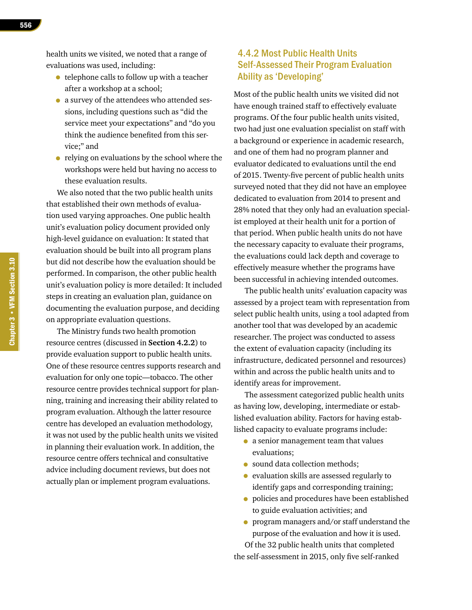health units we visited, we noted that a range of evaluations was used, including:

- telephone calls to follow up with a teacher after a workshop at a school;
- a survey of the attendees who attended sessions, including questions such as "did the service meet your expectations" and "do you think the audience benefited from this service;" and
- relying on evaluations by the school where the workshops were held but having no access to these evaluation results.

We also noted that the two public health units that established their own methods of evaluation used varying approaches. One public health unit's evaluation policy document provided only high-level guidance on evaluation: It stated that evaluation should be built into all program plans but did not describe how the evaluation should be performed. In comparison, the other public health unit's evaluation policy is more detailed: It included steps in creating an evaluation plan, guidance on documenting the evaluation purpose, and deciding on appropriate evaluation questions.

The Ministry funds two health promotion resource centres (discussed in **Section 4.2.2**) to provide evaluation support to public health units. One of these resource centres supports research and evaluation for only one topic—tobacco. The other resource centre provides technical support for planning, training and increasing their ability related to program evaluation. Although the latter resource centre has developed an evaluation methodology, it was not used by the public health units we visited in planning their evaluation work. In addition, the resource centre offers technical and consultative advice including document reviews, but does not actually plan or implement program evaluations.

# 4.4.2 Most Public Health Units Self-Assessed Their Program Evaluation Ability as 'Developing'

Most of the public health units we visited did not have enough trained staff to effectively evaluate programs. Of the four public health units visited, two had just one evaluation specialist on staff with a background or experience in academic research, and one of them had no program planner and evaluator dedicated to evaluations until the end of 2015. Twenty-five percent of public health units surveyed noted that they did not have an employee dedicated to evaluation from 2014 to present and 28% noted that they only had an evaluation specialist employed at their health unit for a portion of that period. When public health units do not have the necessary capacity to evaluate their programs, the evaluations could lack depth and coverage to effectively measure whether the programs have been successful in achieving intended outcomes.

The public health units' evaluation capacity was assessed by a project team with representation from select public health units, using a tool adapted from another tool that was developed by an academic researcher. The project was conducted to assess the extent of evaluation capacity (including its infrastructure, dedicated personnel and resources) within and across the public health units and to identify areas for improvement.

The assessment categorized public health units as having low, developing, intermediate or established evaluation ability. Factors for having established capacity to evaluate programs include:

- a senior management team that values evaluations;
- sound data collection methods;
- evaluation skills are assessed regularly to identify gaps and corresponding training;
- policies and procedures have been established to guide evaluation activities; and
- program managers and/or staff understand the purpose of the evaluation and how it is used.

Of the 32 public health units that completed the self-assessment in 2015, only five self-ranked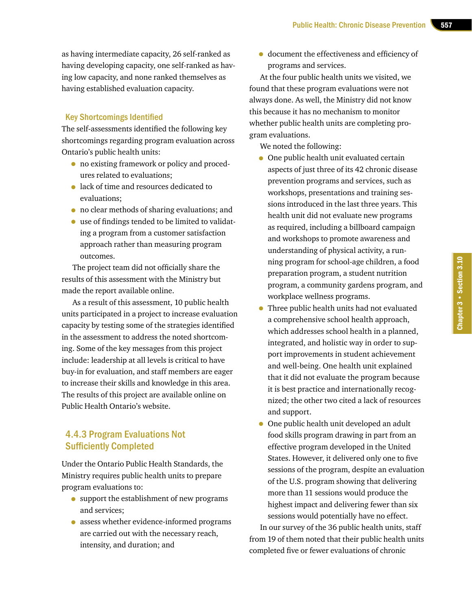as having intermediate capacity, 26 self-ranked as having developing capacity, one self-ranked as having low capacity, and none ranked themselves as having established evaluation capacity.

### Key Shortcomings Identified

The self-assessments identified the following key shortcomings regarding program evaluation across Ontario's public health units:

- no existing framework or policy and procedures related to evaluations;
- lack of time and resources dedicated to evaluations;
- no clear methods of sharing evaluations; and
- use of findings tended to be limited to validating a program from a customer satisfaction approach rather than measuring program outcomes.

The project team did not officially share the results of this assessment with the Ministry but made the report available online.

As a result of this assessment, 10 public health units participated in a project to increase evaluation capacity by testing some of the strategies identified in the assessment to address the noted shortcoming. Some of the key messages from this project include: leadership at all levels is critical to have buy-in for evaluation, and staff members are eager to increase their skills and knowledge in this area. The results of this project are available online on Public Health Ontario's website.

# 4.4.3 Program Evaluations Not Sufficiently Completed

Under the Ontario Public Health Standards, the Ministry requires public health units to prepare program evaluations to:

- support the establishment of new programs and services;
- assess whether evidence-informed programs are carried out with the necessary reach, intensity, and duration; and

• document the effectiveness and efficiency of programs and services.

At the four public health units we visited, we found that these program evaluations were not always done. As well, the Ministry did not know this because it has no mechanism to monitor whether public health units are completing program evaluations.

We noted the following:

- One public health unit evaluated certain aspects of just three of its 42 chronic disease prevention programs and services, such as workshops, presentations and training sessions introduced in the last three years. This health unit did not evaluate new programs as required, including a billboard campaign and workshops to promote awareness and understanding of physical activity, a running program for school-age children, a food preparation program, a student nutrition program, a community gardens program, and workplace wellness programs.
- Three public health units had not evaluated a comprehensive school health approach, which addresses school health in a planned, integrated, and holistic way in order to support improvements in student achievement and well-being. One health unit explained that it did not evaluate the program because it is best practice and internationally recognized; the other two cited a lack of resources and support.
- One public health unit developed an adult food skills program drawing in part from an effective program developed in the United States. However, it delivered only one to five sessions of the program, despite an evaluation of the U.S. program showing that delivering more than 11 sessions would produce the highest impact and delivering fewer than six sessions would potentially have no effect. In our survey of the 36 public health units, staff

from 19 of them noted that their public health units completed five or fewer evaluations of chronic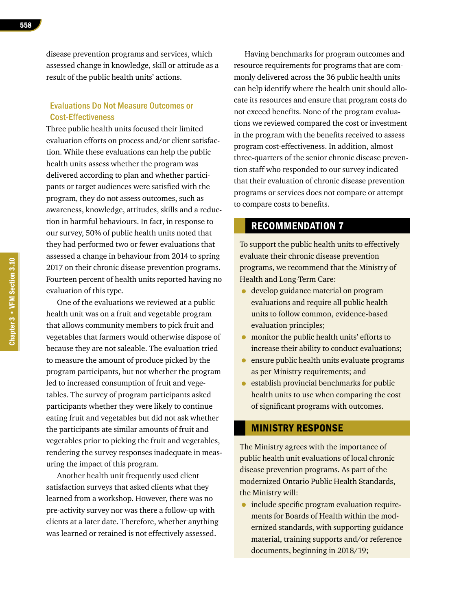disease prevention programs and services, which assessed change in knowledge, skill or attitude as a result of the public health units' actions.

### Evaluations Do Not Measure Outcomes or Cost-Effectiveness

Three public health units focused their limited evaluation efforts on process and/or client satisfaction. While these evaluations can help the public health units assess whether the program was delivered according to plan and whether participants or target audiences were satisfied with the program, they do not assess outcomes, such as awareness, knowledge, attitudes, skills and a reduction in harmful behaviours. In fact, in response to our survey, 50% of public health units noted that they had performed two or fewer evaluations that assessed a change in behaviour from 2014 to spring 2017 on their chronic disease prevention programs. Fourteen percent of health units reported having no evaluation of this type.

One of the evaluations we reviewed at a public health unit was on a fruit and vegetable program that allows community members to pick fruit and vegetables that farmers would otherwise dispose of because they are not saleable. The evaluation tried to measure the amount of produce picked by the program participants, but not whether the program led to increased consumption of fruit and vegetables. The survey of program participants asked participants whether they were likely to continue eating fruit and vegetables but did not ask whether the participants ate similar amounts of fruit and vegetables prior to picking the fruit and vegetables, rendering the survey responses inadequate in measuring the impact of this program.

Another health unit frequently used client satisfaction surveys that asked clients what they learned from a workshop. However, there was no pre-activity survey nor was there a follow-up with clients at a later date. Therefore, whether anything was learned or retained is not effectively assessed.

Having benchmarks for program outcomes and resource requirements for programs that are commonly delivered across the 36 public health units can help identify where the health unit should allocate its resources and ensure that program costs do not exceed benefits. None of the program evaluations we reviewed compared the cost or investment in the program with the benefits received to assess program cost-effectiveness. In addition, almost three-quarters of the senior chronic disease prevention staff who responded to our survey indicated that their evaluation of chronic disease prevention programs or services does not compare or attempt to compare costs to benefits.

# RECOMMENDATION 7

To support the public health units to effectively evaluate their chronic disease prevention programs, we recommend that the Ministry of Health and Long-Term Care:

- develop guidance material on program evaluations and require all public health units to follow common, evidence-based evaluation principles;
- monitor the public health units' efforts to increase their ability to conduct evaluations;
- ensure public health units evaluate programs as per Ministry requirements; and
- establish provincial benchmarks for public health units to use when comparing the cost of significant programs with outcomes.

### MINISTRY RESPONSE

The Ministry agrees with the importance of public health unit evaluations of local chronic disease prevention programs. As part of the modernized Ontario Public Health Standards, the Ministry will:

• include specific program evaluation requirements for Boards of Health within the modernized standards, with supporting guidance material, training supports and/or reference documents, beginning in 2018/19;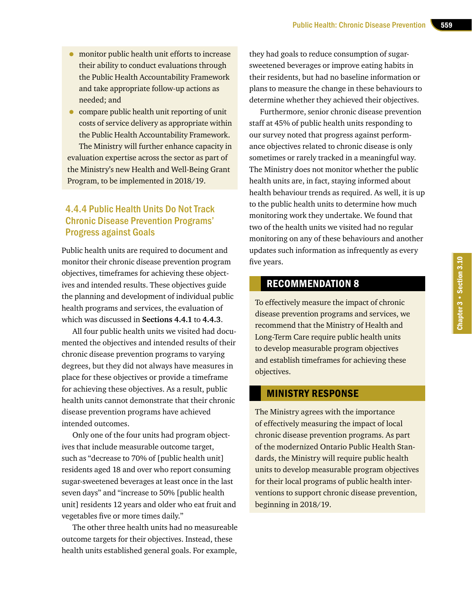- monitor public health unit efforts to increase their ability to conduct evaluations through the Public Health Accountability Framework and take appropriate follow-up actions as needed; and
- compare public health unit reporting of unit costs of service delivery as appropriate within the Public Health Accountability Framework. The Ministry will further enhance capacity in evaluation expertise across the sector as part of the Ministry's new Health and Well-Being Grant Program, to be implemented in 2018/19.

# 4.4.4 Public Health Units Do Not Track Chronic Disease Prevention Programs' Progress against Goals

Public health units are required to document and monitor their chronic disease prevention program objectives, timeframes for achieving these objectives and intended results. These objectives guide the planning and development of individual public health programs and services, the evaluation of which was discussed in **Sections 4.4.1** to **4.4.3**.

All four public health units we visited had documented the objectives and intended results of their chronic disease prevention programs to varying degrees, but they did not always have measures in place for these objectives or provide a timeframe for achieving these objectives. As a result, public health units cannot demonstrate that their chronic disease prevention programs have achieved intended outcomes.

Only one of the four units had program objectives that include measurable outcome target, such as "decrease to 70% of [public health unit] residents aged 18 and over who report consuming sugar-sweetened beverages at least once in the last seven days" and "increase to 50% [public health unit] residents 12 years and older who eat fruit and vegetables five or more times daily."

The other three health units had no measureable outcome targets for their objectives. Instead, these health units established general goals. For example,

they had goals to reduce consumption of sugarsweetened beverages or improve eating habits in their residents, but had no baseline information or plans to measure the change in these behaviours to determine whether they achieved their objectives.

Furthermore, senior chronic disease prevention staff at 45% of public health units responding to our survey noted that progress against performance objectives related to chronic disease is only sometimes or rarely tracked in a meaningful way. The Ministry does not monitor whether the public health units are, in fact, staying informed about health behaviour trends as required. As well, it is up to the public health units to determine how much monitoring work they undertake. We found that two of the health units we visited had no regular monitoring on any of these behaviours and another updates such information as infrequently as every five years.

# RECOMMENDATION 8

To effectively measure the impact of chronic disease prevention programs and services, we recommend that the Ministry of Health and Long-Term Care require public health units to develop measurable program objectives and establish timeframes for achieving these objectives.

# MINISTRY RESPONSE

The Ministry agrees with the importance of effectively measuring the impact of local chronic disease prevention programs. As part of the modernized Ontario Public Health Standards, the Ministry will require public health units to develop measurable program objectives for their local programs of public health interventions to support chronic disease prevention, beginning in 2018/19.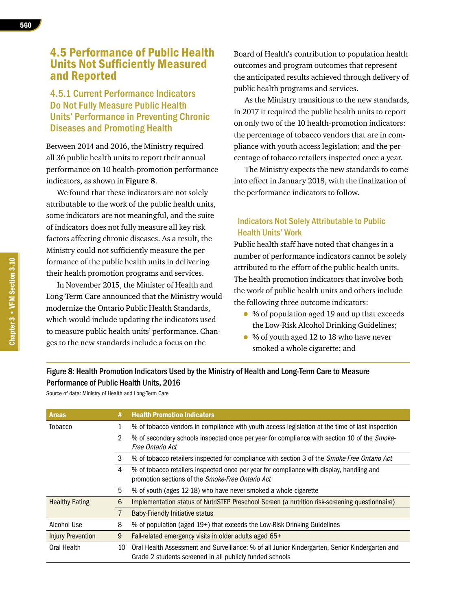# 4.5 Performance of Public Health Units Not Sufficiently Measured and Reported

# 4.5.1 Current Performance Indicators Do Not Fully Measure Public Health Units' Performance in Preventing Chronic Diseases and Promoting Health

Between 2014 and 2016, the Ministry required all 36 public health units to report their annual performance on 10 health-promotion performance indicators, as shown in **Figure 8**.

We found that these indicators are not solely attributable to the work of the public health units, some indicators are not meaningful, and the suite of indicators does not fully measure all key risk factors affecting chronic diseases. As a result, the Ministry could not sufficiently measure the performance of the public health units in delivering their health promotion programs and services.

In November 2015, the Minister of Health and Long-Term Care announced that the Ministry would modernize the Ontario Public Health Standards, which would include updating the indicators used to measure public health units' performance. Changes to the new standards include a focus on the

Board of Health's contribution to population health outcomes and program outcomes that represent the anticipated results achieved through delivery of public health programs and services.

As the Ministry transitions to the new standards, in 2017 it required the public health units to report on only two of the 10 health-promotion indicators: the percentage of tobacco vendors that are in compliance with youth access legislation; and the percentage of tobacco retailers inspected once a year.

The Ministry expects the new standards to come into effect in January 2018, with the finalization of the performance indicators to follow.

### Indicators Not Solely Attributable to Public Health Units' Work

Public health staff have noted that changes in a number of performance indicators cannot be solely attributed to the effort of the public health units. The health promotion indicators that involve both the work of public health units and others include the following three outcome indicators:

- % of population aged 19 and up that exceeds the Low-Risk Alcohol Drinking Guidelines;
- % of youth aged 12 to 18 who have never smoked a whole cigarette; and

# Figure 8: Health Promotion Indicators Used by the Ministry of Health and Long-Term Care to Measure Performance of Public Health Units, 2016

Source of data: Ministry of Health and Long-Term Care

| <b>Areas</b>             | #  | <b>Health Promotion Indicators</b>                                                                                                                         |
|--------------------------|----|------------------------------------------------------------------------------------------------------------------------------------------------------------|
| <b>Tobacco</b>           |    | % of tobacco vendors in compliance with youth access legislation at the time of last inspection                                                            |
|                          | 2  | % of secondary schools inspected once per year for compliance with section 10 of the Smoke-<br>Free Ontario Act                                            |
|                          | 3  | % of tobacco retailers inspected for compliance with section 3 of the Smoke-Free Ontario Act                                                               |
|                          | 4  | % of tobacco retailers inspected once per year for compliance with display, handling and<br>promotion sections of the Smoke-Free Ontario Act               |
|                          | 5  | % of youth (ages 12-18) who have never smoked a whole cigarette                                                                                            |
| <b>Healthy Eating</b>    | 6  | Implementation status of NutriSTEP Preschool Screen (a nutrition risk-screening questionnaire)                                                             |
|                          |    | <b>Baby-Friendly Initiative status</b>                                                                                                                     |
| Alcohol Use              | 8  | % of population (aged 19+) that exceeds the Low-Risk Drinking Guidelines                                                                                   |
| <b>Injury Prevention</b> | 9  | Fall-related emergency visits in older adults aged 65+                                                                                                     |
| Oral Health              | 10 | Oral Health Assessment and Surveillance: % of all Junior Kindergarten, Senior Kindergarten and<br>Grade 2 students screened in all publicly funded schools |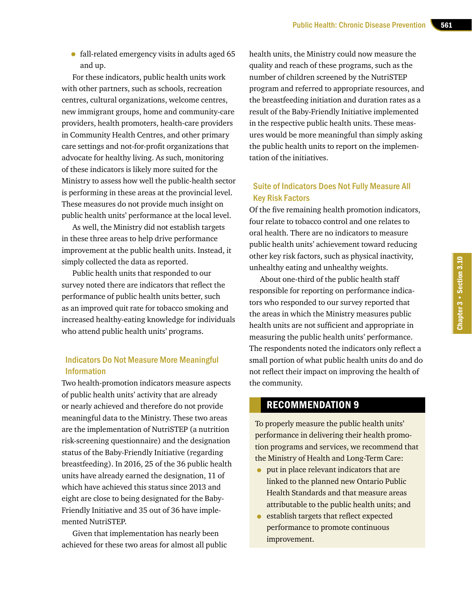• fall-related emergency visits in adults aged 65 and up.

For these indicators, public health units work with other partners, such as schools, recreation centres, cultural organizations, welcome centres, new immigrant groups, home and community-care providers, health promoters, health-care providers in Community Health Centres, and other primary care settings and not-for-profit organizations that advocate for healthy living. As such, monitoring of these indicators is likely more suited for the Ministry to assess how well the public-health sector is performing in these areas at the provincial level. These measures do not provide much insight on public health units' performance at the local level.

As well, the Ministry did not establish targets in these three areas to help drive performance improvement at the public health units. Instead, it simply collected the data as reported.

Public health units that responded to our survey noted there are indicators that reflect the performance of public health units better, such as an improved quit rate for tobacco smoking and increased healthy-eating knowledge for individuals who attend public health units' programs.

### Indicators Do Not Measure More Meaningful Information

Two health-promotion indicators measure aspects of public health units' activity that are already or nearly achieved and therefore do not provide meaningful data to the Ministry. These two areas are the implementation of NutriSTEP (a nutrition risk-screening questionnaire) and the designation status of the Baby-Friendly Initiative (regarding breastfeeding). In 2016, 25 of the 36 public health units have already earned the designation, 11 of which have achieved this status since 2013 and eight are close to being designated for the Baby-Friendly Initiative and 35 out of 36 have implemented NutriSTEP.

Given that implementation has nearly been achieved for these two areas for almost all public health units, the Ministry could now measure the quality and reach of these programs, such as the number of children screened by the NutriSTEP program and referred to appropriate resources, and the breastfeeding initiation and duration rates as a result of the Baby-Friendly Initiative implemented in the respective public health units. These measures would be more meaningful than simply asking the public health units to report on the implementation of the initiatives.

### Suite of Indicators Does Not Fully Measure All Key Risk Factors

Of the five remaining health promotion indicators, four relate to tobacco control and one relates to oral health. There are no indicators to measure public health units' achievement toward reducing other key risk factors, such as physical inactivity, unhealthy eating and unhealthy weights.

About one-third of the public health staff responsible for reporting on performance indicators who responded to our survey reported that the areas in which the Ministry measures public health units are not sufficient and appropriate in measuring the public health units' performance. The respondents noted the indicators only reflect a small portion of what public health units do and do not reflect their impact on improving the health of the community.

Chapter 3 • Section 3.10

Chapter 3 . Section 3.10

# RECOMMENDATION 9

To properly measure the public health units' performance in delivering their health promotion programs and services, we recommend that the Ministry of Health and Long-Term Care:

- put in place relevant indicators that are linked to the planned new Ontario Public Health Standards and that measure areas attributable to the public health units; and
- establish targets that reflect expected performance to promote continuous improvement.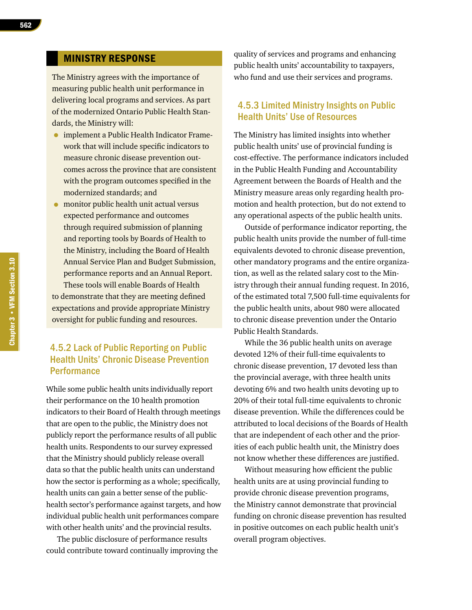### MINISTRY RESPONSE

The Ministry agrees with the importance of measuring public health unit performance in delivering local programs and services. As part of the modernized Ontario Public Health Standards, the Ministry will:

- implement a Public Health Indicator Framework that will include specific indicators to measure chronic disease prevention outcomes across the province that are consistent with the program outcomes specified in the modernized standards; and
- monitor public health unit actual versus expected performance and outcomes through required submission of planning and reporting tools by Boards of Health to the Ministry, including the Board of Health Annual Service Plan and Budget Submission, performance reports and an Annual Report. These tools will enable Boards of Health to demonstrate that they are meeting defined

expectations and provide appropriate Ministry oversight for public funding and resources.

# 4.5.2 Lack of Public Reporting on Public Health Units' Chronic Disease Prevention **Performance**

While some public health units individually report their performance on the 10 health promotion indicators to their Board of Health through meetings that are open to the public, the Ministry does not publicly report the performance results of all public health units. Respondents to our survey expressed that the Ministry should publicly release overall data so that the public health units can understand how the sector is performing as a whole; specifically, health units can gain a better sense of the publichealth sector's performance against targets, and how individual public health unit performances compare with other health units' and the provincial results.

The public disclosure of performance results could contribute toward continually improving the quality of services and programs and enhancing public health units' accountability to taxpayers, who fund and use their services and programs.

### 4.5.3 Limited Ministry Insights on Public Health Units' Use of Resources

The Ministry has limited insights into whether public health units' use of provincial funding is cost-effective. The performance indicators included in the Public Health Funding and Accountability Agreement between the Boards of Health and the Ministry measure areas only regarding health promotion and health protection, but do not extend to any operational aspects of the public health units.

Outside of performance indicator reporting, the public health units provide the number of full-time equivalents devoted to chronic disease prevention, other mandatory programs and the entire organization, as well as the related salary cost to the Ministry through their annual funding request. In 2016, of the estimated total 7,500 full-time equivalents for the public health units, about 980 were allocated to chronic disease prevention under the Ontario Public Health Standards.

While the 36 public health units on average devoted 12% of their full-time equivalents to chronic disease prevention, 17 devoted less than the provincial average, with three health units devoting 6% and two health units devoting up to 20% of their total full-time equivalents to chronic disease prevention. While the differences could be attributed to local decisions of the Boards of Health that are independent of each other and the priorities of each public health unit, the Ministry does not know whether these differences are justified.

Without measuring how efficient the public health units are at using provincial funding to provide chronic disease prevention programs, the Ministry cannot demonstrate that provincial funding on chronic disease prevention has resulted in positive outcomes on each public health unit's overall program objectives.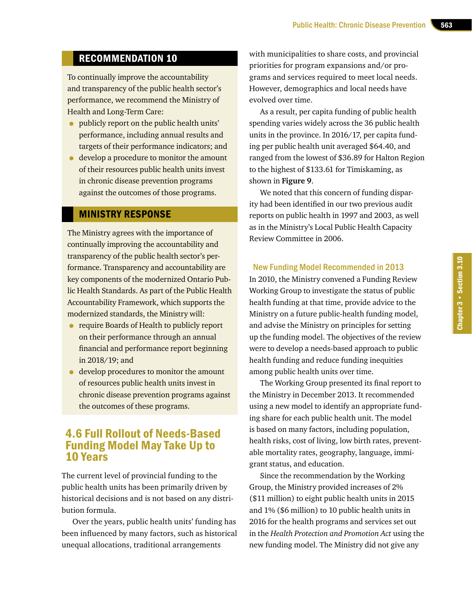# RECOMMENDATION 10

To continually improve the accountability and transparency of the public health sector's performance, we recommend the Ministry of Health and Long-Term Care:

- publicly report on the public health units' performance, including annual results and targets of their performance indicators; and
- develop a procedure to monitor the amount of their resources public health units invest in chronic disease prevention programs against the outcomes of those programs.

### MINISTRY RESPONSE

The Ministry agrees with the importance of continually improving the accountability and transparency of the public health sector's performance. Transparency and accountability are key components of the modernized Ontario Public Health Standards. As part of the Public Health Accountability Framework, which supports the modernized standards, the Ministry will:

- require Boards of Health to publicly report on their performance through an annual financial and performance report beginning in 2018/19; and
- develop procedures to monitor the amount of resources public health units invest in chronic disease prevention programs against the outcomes of these programs.

# 4.6 Full Rollout of Needs-Based Funding Model May Take Up to 10 Years

The current level of provincial funding to the public health units has been primarily driven by historical decisions and is not based on any distribution formula.

Over the years, public health units' funding has been influenced by many factors, such as historical unequal allocations, traditional arrangements

with municipalities to share costs, and provincial priorities for program expansions and/or programs and services required to meet local needs. However, demographics and local needs have evolved over time.

As a result, per capita funding of public health spending varies widely across the 36 public health units in the province. In 2016/17, per capita funding per public health unit averaged \$64.40, and ranged from the lowest of \$36.89 for Halton Region to the highest of \$133.61 for Timiskaming, as shown in **Figure 9**.

We noted that this concern of funding disparity had been identified in our two previous audit reports on public health in 1997 and 2003, as well as in the Ministry's Local Public Health Capacity Review Committee in 2006.

### New Funding Model Recommended in 2013

In 2010, the Ministry convened a Funding Review Working Group to investigate the status of public health funding at that time, provide advice to the Ministry on a future public-health funding model, and advise the Ministry on principles for setting up the funding model. The objectives of the review were to develop a needs-based approach to public health funding and reduce funding inequities among public health units over time.

The Working Group presented its final report to the Ministry in December 2013. It recommended using a new model to identify an appropriate funding share for each public health unit. The model is based on many factors, including population, health risks, cost of living, low birth rates, preventable mortality rates, geography, language, immigrant status, and education.

Since the recommendation by the Working Group, the Ministry provided increases of 2% (\$11 million) to eight public health units in 2015 and 1% (\$6 million) to 10 public health units in 2016 for the health programs and services set out in the *Health Protection and Promotion Act* using the new funding model. The Ministry did not give any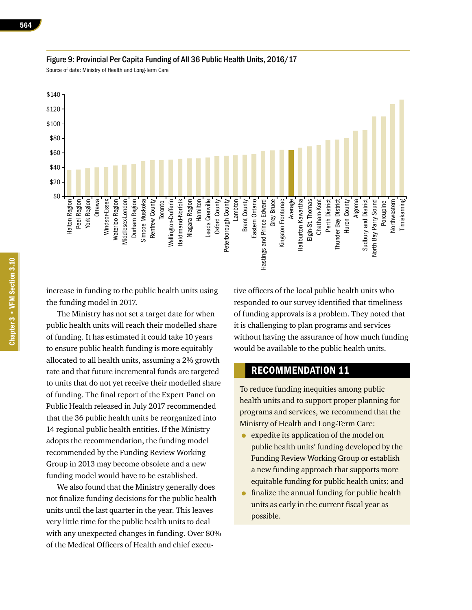

### Figure 9: Provincial Per Capita Funding of All 36 Public Health Units, 2016/17

Source of data: Ministry of Health and Long-Term Care

increase in funding to the public health units using the funding model in 2017.

The Ministry has not set a target date for when public health units will reach their modelled share of funding. It has estimated it could take 10 years to ensure public health funding is more equitably allocated to all health units, assuming a 2% growth rate and that future incremental funds are targeted to units that do not yet receive their modelled share of funding. The final report of the Expert Panel on Public Health released in July 2017 recommended that the 36 public health units be reorganized into 14 regional public health entities. If the Ministry adopts the recommendation, the funding model recommended by the Funding Review Working Group in 2013 may become obsolete and a new funding model would have to be established.

We also found that the Ministry generally does not finalize funding decisions for the public health units until the last quarter in the year. This leaves very little time for the public health units to deal with any unexpected changes in funding. Over 80% of the Medical Officers of Health and chief executive officers of the local public health units who responded to our survey identified that timeliness of funding approvals is a problem. They noted that it is challenging to plan programs and services without having the assurance of how much funding would be available to the public health units.

# RECOMMENDATION 11

To reduce funding inequities among public health units and to support proper planning for programs and services, we recommend that the Ministry of Health and Long-Term Care:

- expedite its application of the model on public health units' funding developed by the Funding Review Working Group or establish a new funding approach that supports more equitable funding for public health units; and
- finalize the annual funding for public health units as early in the current fiscal year as possible.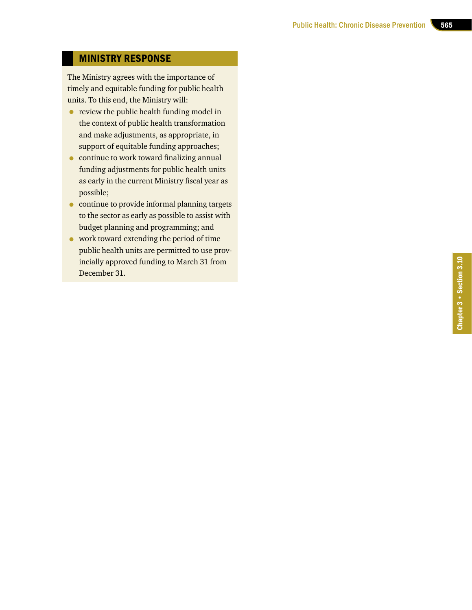# MINISTRY RESPONSE

The Ministry agrees with the importance of timely and equitable funding for public health units. To this end, the Ministry will:

- review the public health funding model in the context of public health transformation and make adjustments, as appropriate, in support of equitable funding approaches;
- continue to work toward finalizing annual funding adjustments for public health units as early in the current Ministry fiscal year as possible;
- continue to provide informal planning targets to the sector as early as possible to assist with budget planning and programming; and
- work toward extending the period of time public health units are permitted to use prov incially approved funding to March 31 from December 31.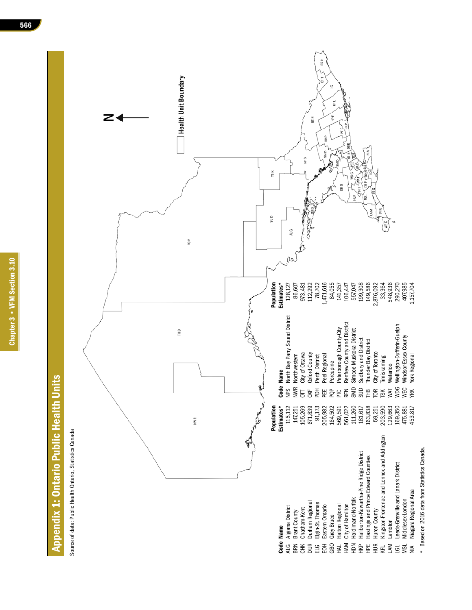# Appendix 1: Ontario Public Health Units **Appendix 1: Ontario Public Health Units**

Source of data: Public Health Ontario, Statistics Canada Source of data: Public Health Ontario, Statistics Canada



\* Based on 2016 data from Statistics Canada. Based on 2016 data from Statistics Canada.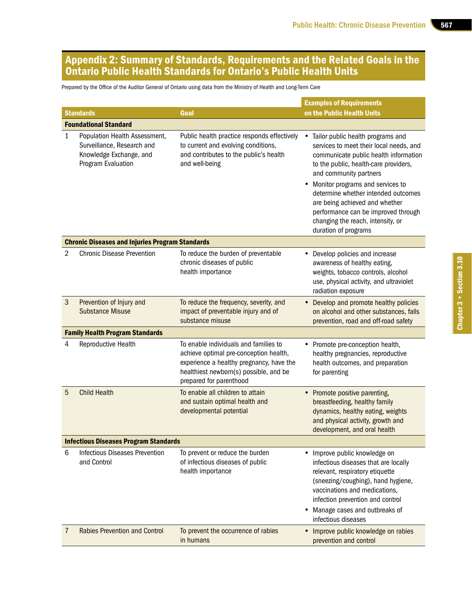# Appendix 2: Summary of Standards, Requirements and the Related Goals in the Ontario Public Health Standards for Ontario's Public Health Units

Prepared by the Office of the Auditor General of Ontario using data from the Ministry of Health and Long-Term Care

|                                              |                                                                                                              |                                                                                                                                                                                                  | <b>Examples of Requirements</b>                                                                                                                                                                                                                                                                                                                                                                                             |  |  |  |  |
|----------------------------------------------|--------------------------------------------------------------------------------------------------------------|--------------------------------------------------------------------------------------------------------------------------------------------------------------------------------------------------|-----------------------------------------------------------------------------------------------------------------------------------------------------------------------------------------------------------------------------------------------------------------------------------------------------------------------------------------------------------------------------------------------------------------------------|--|--|--|--|
|                                              | <b>Standards</b>                                                                                             | Goal                                                                                                                                                                                             | on the Public Health Units                                                                                                                                                                                                                                                                                                                                                                                                  |  |  |  |  |
| <b>Foundational Standard</b>                 |                                                                                                              |                                                                                                                                                                                                  |                                                                                                                                                                                                                                                                                                                                                                                                                             |  |  |  |  |
| 1                                            | Population Health Assessment,<br>Surveillance, Research and<br>Knowledge Exchange, and<br>Program Evaluation | Public health practice responds effectively<br>to current and evolving conditions,<br>and contributes to the public's health<br>and well-being                                                   | Tailor public health programs and<br>$\bullet$<br>services to meet their local needs, and<br>communicate public health information<br>to the public, health-care providers,<br>and community partners<br>Monitor programs and services to<br>٠<br>determine whether intended outcomes<br>are being achieved and whether<br>performance can be improved through<br>changing the reach, intensity, or<br>duration of programs |  |  |  |  |
|                                              | <b>Chronic Diseases and Injuries Program Standards</b>                                                       |                                                                                                                                                                                                  |                                                                                                                                                                                                                                                                                                                                                                                                                             |  |  |  |  |
| 2                                            | <b>Chronic Disease Prevention</b>                                                                            | To reduce the burden of preventable<br>chronic diseases of public<br>health importance                                                                                                           | • Develop policies and increase<br>awareness of healthy eating,<br>weights, tobacco controls, alcohol<br>use, physical activity, and ultraviolet<br>radiation exposure                                                                                                                                                                                                                                                      |  |  |  |  |
| 3                                            | Prevention of Injury and<br><b>Substance Misuse</b>                                                          | To reduce the frequency, severity, and<br>impact of preventable injury and of<br>substance misuse                                                                                                | • Develop and promote healthy policies<br>on alcohol and other substances, falls<br>prevention, road and off-road safety                                                                                                                                                                                                                                                                                                    |  |  |  |  |
|                                              | <b>Family Health Program Standards</b>                                                                       |                                                                                                                                                                                                  |                                                                                                                                                                                                                                                                                                                                                                                                                             |  |  |  |  |
| 4                                            | Reproductive Health                                                                                          | To enable individuals and families to<br>achieve optimal pre-conception health,<br>experience a healthy pregnancy, have the<br>healthiest newborn(s) possible, and be<br>prepared for parenthood | • Promote pre-conception health,<br>healthy pregnancies, reproductive<br>health outcomes, and preparation<br>for parenting                                                                                                                                                                                                                                                                                                  |  |  |  |  |
| 5                                            | <b>Child Health</b>                                                                                          | To enable all children to attain<br>and sustain optimal health and<br>developmental potential                                                                                                    | • Promote positive parenting,<br>breastfeeding, healthy family<br>dynamics, healthy eating, weights<br>and physical activity, growth and<br>development, and oral health                                                                                                                                                                                                                                                    |  |  |  |  |
| <b>Infectious Diseases Program Standards</b> |                                                                                                              |                                                                                                                                                                                                  |                                                                                                                                                                                                                                                                                                                                                                                                                             |  |  |  |  |
| 6                                            | <b>Infectious Diseases Prevention</b><br>and Control                                                         | To prevent or reduce the burden<br>of infectious diseases of public<br>health importance                                                                                                         | • Improve public knowledge on<br>infectious diseases that are locally<br>relevant, respiratory etiquette<br>(sneezing/coughing), hand hygiene,<br>vaccinations and medications,<br>infection prevention and control<br>Manage cases and outbreaks of<br>infectious diseases                                                                                                                                                 |  |  |  |  |
| 7                                            | <b>Rabies Prevention and Control</b>                                                                         | To prevent the occurrence of rabies<br>in humans                                                                                                                                                 | Improve public knowledge on rabies<br>prevention and control                                                                                                                                                                                                                                                                                                                                                                |  |  |  |  |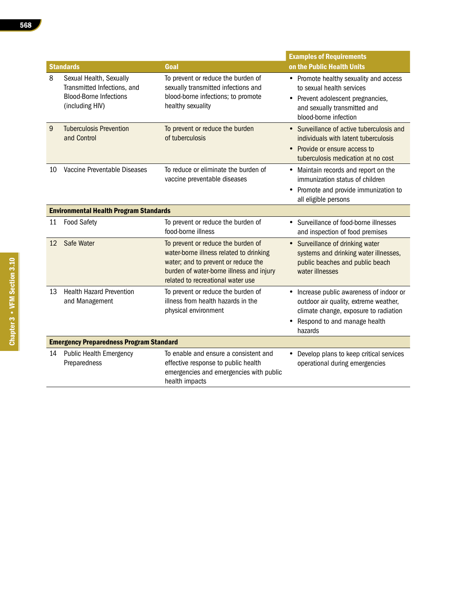|                                                |                                                                                                            |                                                                                                                                                                                                       | <b>Examples of Requirements</b>                                                                                                                                         |  |
|------------------------------------------------|------------------------------------------------------------------------------------------------------------|-------------------------------------------------------------------------------------------------------------------------------------------------------------------------------------------------------|-------------------------------------------------------------------------------------------------------------------------------------------------------------------------|--|
|                                                | <b>Standards</b>                                                                                           | Goal                                                                                                                                                                                                  | on the Public Health Units                                                                                                                                              |  |
| 8                                              | Sexual Health, Sexually<br>Transmitted Infections, and<br><b>Blood-Borne Infections</b><br>(including HIV) | To prevent or reduce the burden of<br>sexually transmitted infections and<br>blood-borne infections; to promote<br>healthy sexuality                                                                  | • Promote healthy sexuality and access<br>to sexual health services<br>• Prevent adolescent pregnancies,<br>and sexually transmitted and<br>blood-borne infection       |  |
| 9                                              | <b>Tuberculosis Prevention</b><br>and Control                                                              | To prevent or reduce the burden<br>of tuberculosis                                                                                                                                                    | • Surveillance of active tuberculosis and<br>individuals with latent tuberculosis<br>• Provide or ensure access to<br>tuberculosis medication at no cost                |  |
| 10                                             | Vaccine Preventable Diseases                                                                               | To reduce or eliminate the burden of<br>vaccine preventable diseases                                                                                                                                  | • Maintain records and report on the<br>immunization status of children<br>• Promote and provide immunization to<br>all eligible persons                                |  |
|                                                | <b>Environmental Health Program Standards</b>                                                              |                                                                                                                                                                                                       |                                                                                                                                                                         |  |
| 11                                             | <b>Food Safety</b>                                                                                         | To prevent or reduce the burden of<br>food-borne illness                                                                                                                                              | Surveillance of food-borne illnesses<br>$\bullet$<br>and inspection of food premises                                                                                    |  |
| 12                                             | Safe Water                                                                                                 | To prevent or reduce the burden of<br>water-borne illness related to drinking<br>water; and to prevent or reduce the<br>burden of water-borne illness and injury<br>related to recreational water use | • Surveillance of drinking water<br>systems and drinking water illnesses,<br>public beaches and public beach<br>water illnesses                                         |  |
| 13                                             | <b>Health Hazard Prevention</b><br>and Management                                                          | To prevent or reduce the burden of<br>illness from health hazards in the<br>physical environment                                                                                                      | • Increase public awareness of indoor or<br>outdoor air quality, extreme weather,<br>climate change, exposure to radiation<br>• Respond to and manage health<br>hazards |  |
| <b>Emergency Preparedness Program Standard</b> |                                                                                                            |                                                                                                                                                                                                       |                                                                                                                                                                         |  |
| 14                                             | <b>Public Health Emergency</b><br>Preparedness                                                             | To enable and ensure a consistent and<br>effective response to public health<br>emergencies and emergencies with public<br>health impacts                                                             | • Develop plans to keep critical services<br>operational during emergencies                                                                                             |  |